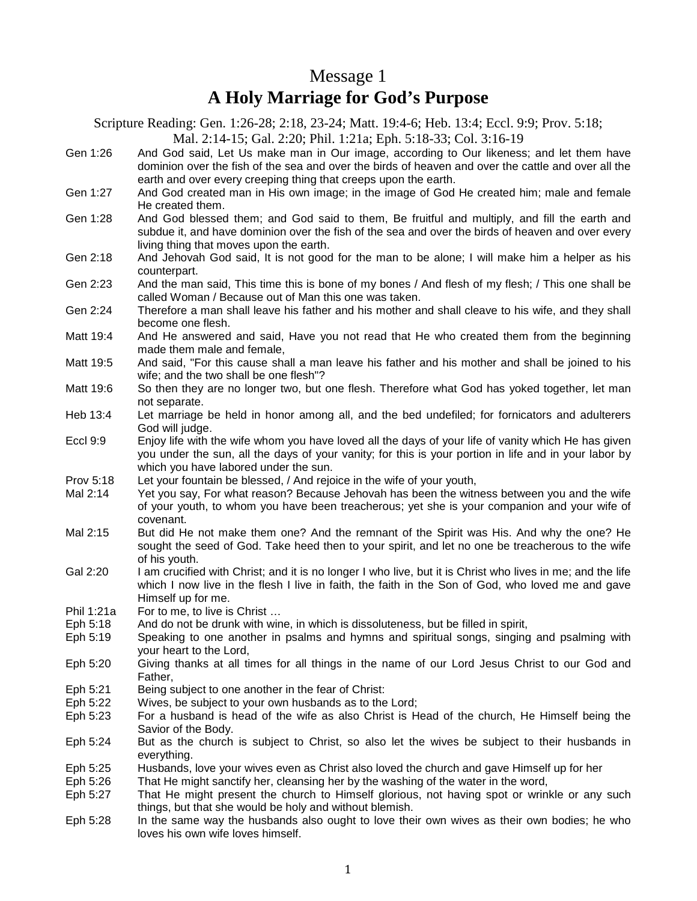## Message 1 **A Holy Marriage for God's Purpose**

Scripture Reading: Gen. 1:26-28; 2:18, 23-24; Matt. 19:4-6; Heb. 13:4; Eccl. 9:9; Prov. 5:18; Mal. 2:14-15; Gal. 2:20; Phil. 1:21a; Eph. 5:18-33; Col. 3:16-19

- Gen 1:26 And God said, Let Us make man in Our image, according to Our likeness; and let them have dominion over the fish of the sea and over the birds of heaven and over the cattle and over all the earth and over every creeping thing that creeps upon the earth.
- Gen 1:27 And God created man in His own image; in the image of God He created him; male and female He created them.
- Gen 1:28 And God blessed them; and God said to them, Be fruitful and multiply, and fill the earth and subdue it, and have dominion over the fish of the sea and over the birds of heaven and over every living thing that moves upon the earth.
- Gen 2:18 And Jehovah God said, It is not good for the man to be alone; I will make him a helper as his counterpart.
- Gen 2:23 And the man said, This time this is bone of my bones / And flesh of my flesh; / This one shall be called Woman / Because out of Man this one was taken.
- Gen 2:24 Therefore a man shall leave his father and his mother and shall cleave to his wife, and they shall become one flesh.
- Matt 19:4 And He answered and said, Have you not read that He who created them from the beginning made them male and female,
- Matt 19:5 And said, "For this cause shall a man leave his father and his mother and shall be joined to his wife; and the two shall be one flesh"?
- Matt 19:6 So then they are no longer two, but one flesh. Therefore what God has yoked together, let man not separate.
- Heb 13:4 Let marriage be held in honor among all, and the bed undefiled; for fornicators and adulterers God will judge.
- Eccl 9:9 Enjoy life with the wife whom you have loved all the days of your life of vanity which He has given you under the sun, all the days of your vanity; for this is your portion in life and in your labor by which you have labored under the sun.
- Prov 5:18 Let your fountain be blessed, / And rejoice in the wife of your youth,
- Mal 2:14 Yet you say, For what reason? Because Jehovah has been the witness between you and the wife of your youth, to whom you have been treacherous; yet she is your companion and your wife of covenant.
- Mal 2:15 But did He not make them one? And the remnant of the Spirit was His. And why the one? He sought the seed of God. Take heed then to your spirit, and let no one be treacherous to the wife of his youth.
- Gal 2:20 I am crucified with Christ; and it is no longer I who live, but it is Christ who lives in me; and the life which I now live in the flesh I live in faith, the faith in the Son of God, who loved me and gave Himself up for me.
- Phil 1:21a For to me, to live is Christ ...
- Eph 5:18 And do not be drunk with wine, in which is dissoluteness, but be filled in spirit,
- Eph 5:19 Speaking to one another in psalms and hymns and spiritual songs, singing and psalming with your heart to the Lord,
- Eph 5:20 Giving thanks at all times for all things in the name of our Lord Jesus Christ to our God and Father,
- Eph 5:21 Being subject to one another in the fear of Christ:
- Eph 5:22 Wives, be subject to your own husbands as to the Lord;
- Eph 5:23 For a husband is head of the wife as also Christ is Head of the church, He Himself being the Savior of the Body.
- Eph 5:24 But as the church is subject to Christ, so also let the wives be subject to their husbands in everything.
- Eph 5:25 Husbands, love your wives even as Christ also loved the church and gave Himself up for her<br>Eph 5:26 That He might sanctify her, cleansing her by the washing of the water in the word,
- That He might sanctify her, cleansing her by the washing of the water in the word,
- Eph 5:27 That He might present the church to Himself glorious, not having spot or wrinkle or any such things, but that she would be holy and without blemish.
- Eph 5:28 In the same way the husbands also ought to love their own wives as their own bodies; he who loves his own wife loves himself.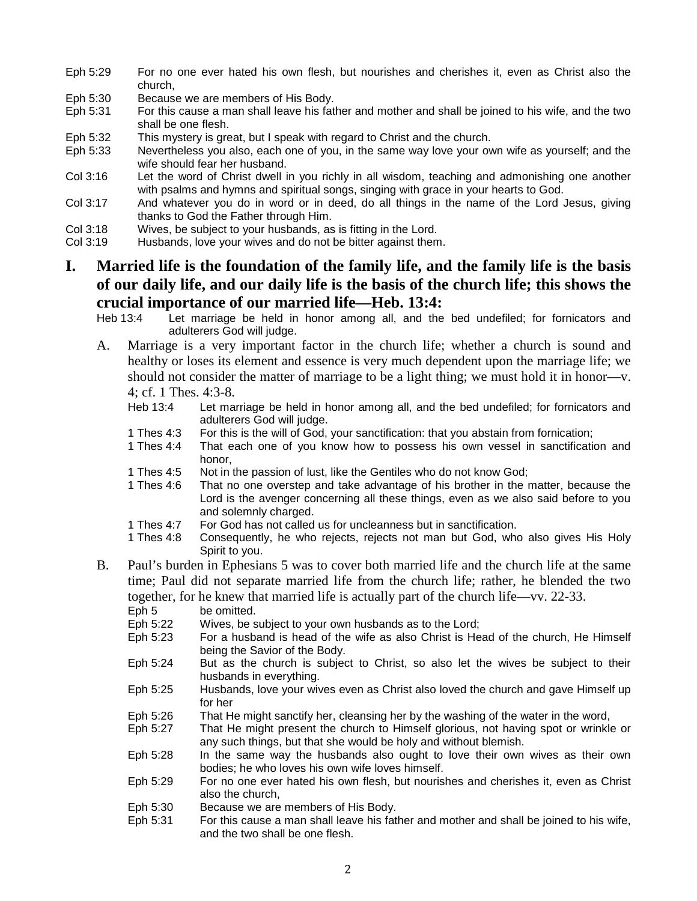- Eph 5:29 For no one ever hated his own flesh, but nourishes and cherishes it, even as Christ also the church,
- 
- Eph 5:30 Because we are members of His Body.<br>Eph 5:31 For this cause a man shall leave his fatl For this cause a man shall leave his father and mother and shall be joined to his wife, and the two shall be one flesh.
- Eph 5:32 This mystery is great, but I speak with regard to Christ and the church.
- Eph 5:33 Nevertheless you also, each one of you, in the same way love your own wife as yourself; and the wife should fear her husband.
- Col 3:16 Let the word of Christ dwell in you richly in all wisdom, teaching and admonishing one another with psalms and hymns and spiritual songs, singing with grace in your hearts to God.
- Col 3:17 And whatever you do in word or in deed, do all things in the name of the Lord Jesus, giving thanks to God the Father through Him.
- Col 3:18 Wives, be subject to your husbands, as is fitting in the Lord.
- Col 3:19 Husbands, love your wives and do not be bitter against them.

# **I. Married life is the foundation of the family life, and the family life is the basis of our daily life, and our daily life is the basis of the church life; this shows the crucial importance of our married life—Heb. 13:4:**<br>Heb 13:4 Let marriage be held in honor among all, and the

- Let marriage be held in honor among all, and the bed undefiled; for fornicators and adulterers God will judge.
- A. Marriage is a very important factor in the church life; whether a church is sound and healthy or loses its element and essence is very much dependent upon the marriage life; we should not consider the matter of marriage to be a light thing; we must hold it in honor—v. 4; cf. 1 Thes. 4:3-8.
	- Heb 13:4 Let marriage be held in honor among all, and the bed undefiled; for fornicators and adulterers God will judge.
	- 1 Thes 4:3 For this is the will of God, your sanctification: that you abstain from fornication;
	- 1 Thes 4:4 That each one of you know how to possess his own vessel in sanctification and honor,
	- 1 Thes 4:5 Not in the passion of lust, like the Gentiles who do not know God;
	- 1 Thes 4:6 That no one overstep and take advantage of his brother in the matter, because the Lord is the avenger concerning all these things, even as we also said before to you and solemnly charged.
	- 1 Thes 4:7 For God has not called us for uncleanness but in sanctification.
	- 1 Thes 4:8 Consequently, he who rejects, rejects not man but God, who also gives His Holy Spirit to you.
- B. Paul's burden in Ephesians 5 was to cover both married life and the church life at the same time; Paul did not separate married life from the church life; rather, he blended the two together, for he knew that married life is actually part of the church life—vv. 22-33.<br>Eph 5 be omitted.
	- be omitted.
	- Eph 5:22 Wives, be subject to your own husbands as to the Lord;
	- Eph 5:23 For a husband is head of the wife as also Christ is Head of the church, He Himself being the Savior of the Body.
	- Eph 5:24 But as the church is subject to Christ, so also let the wives be subject to their husbands in everything.
	- Eph 5:25 Husbands, love your wives even as Christ also loved the church and gave Himself up for her
	- Eph 5:26 That He might sanctify her, cleansing her by the washing of the water in the word,
	- Eph 5:27 That He might present the church to Himself glorious, not having spot or wrinkle or any such things, but that she would be holy and without blemish.
	- Eph 5:28 In the same way the husbands also ought to love their own wives as their own bodies; he who loves his own wife loves himself.
	- Eph 5:29 For no one ever hated his own flesh, but nourishes and cherishes it, even as Christ also the church,
	- Eph 5:30 Because we are members of His Body.
	- Eph 5:31 For this cause a man shall leave his father and mother and shall be joined to his wife, and the two shall be one flesh.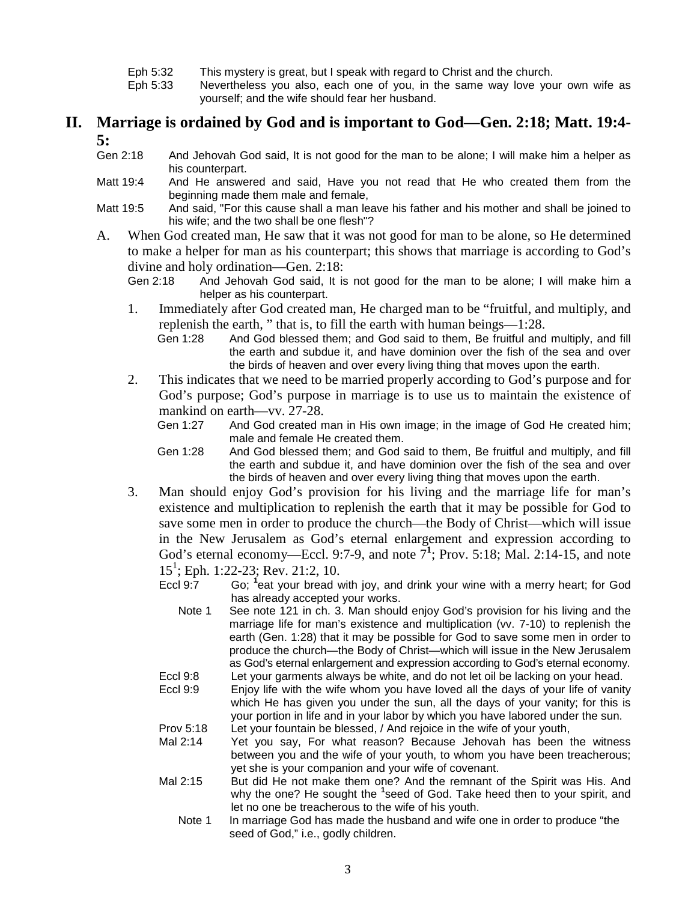- Eph 5:32 This mystery is great, but I speak with regard to Christ and the church.
- Nevertheless you also, each one of you, in the same way love your own wife as yourself; and the wife should fear her husband.

# **II. Marriage is ordained by God and is important to God—Gen. 2:18; Matt. 19:4- 5:**<br>Gen 2:18

- And Jehovah God said, It is not good for the man to be alone; I will make him a helper as his counterpart.
- Matt 19:4 And He answered and said, Have you not read that He who created them from the beginning made them male and female,
- Matt 19:5 And said, "For this cause shall a man leave his father and his mother and shall be joined to his wife; and the two shall be one flesh"?
- A. When God created man, He saw that it was not good for man to be alone, so He determined to make a helper for man as his counterpart; this shows that marriage is according to God's divine and holy ordination—Gen. 2:18:<br>Gen 2:18 And Jehovah God said. It is
	- And Jehovah God said, It is not good for the man to be alone; I will make him a helper as his counterpart.
	- 1. Immediately after God created man, He charged man to be "fruitful, and multiply, and replenish the earth, " that is, to fill the earth with human beings—1:28.
		- Gen 1:28 And God blessed them; and God said to them, Be fruitful and multiply, and fill the earth and subdue it, and have dominion over the fish of the sea and over the birds of heaven and over every living thing that moves upon the earth.
	- 2. This indicates that we need to be married properly according to God's purpose and for God's purpose; God's purpose in marriage is to use us to maintain the existence of mankind on earth—vv. 27-28.<br>Gen 1:27 And God created n

And God created man in His own image; in the image of God He created him; male and female He created them.

Gen 1:28 And God blessed them; and God said to them, Be fruitful and multiply, and fill the earth and subdue it, and have dominion over the fish of the sea and over the birds of heaven and over every living thing that moves upon the earth.

3. Man should enjoy God's provision for his living and the marriage life for man's existence and multiplication to replenish the earth that it may be possible for God to save some men in order to produce the church—the Body of Christ—which will issue in the New Jerusalem as God's eternal enlargement and expression according to God's eternal economy—Eccl. 9:7-9, and note  $7^1$ ; Prov. 5:18; Mal. 2:14-15, and note 151 ; Eph. 1:22-23; Rev. 21:2, 10.

 $E$ ccl  $9:7$ Go;  $^1$ eat your bread with joy, and drink your wine with a merry heart; for God has already accepted your works.

- Note 1 See note 121 in ch. 3. Man should enjoy God's provision for his living and the marriage life for man's existence and multiplication (vv. 7-10) to replenish the earth (Gen. 1:28) that it may be possible for God to save some men in order to produce the church—the Body of Christ—which will issue in the New Jerusalem as God's eternal enlargement and expression according to God's eternal economy. Eccl 9:8 Let your garments always be white, and do not let oil be lacking on your head.
- Eccl 9:9 Enjoy life with the wife whom you have loved all the days of your life of vanity which He has given you under the sun, all the days of your vanity; for this is your portion in life and in your labor by which you have labored under the sun. Prov 5:18 Let your fountain be blessed, / And rejoice in the wife of your youth,
- Mal 2:14 Yet you say, For what reason? Because Jehovah has been the witness between you and the wife of your youth, to whom you have been treacherous; yet she is your companion and your wife of covenant.
- Mal 2:15 But did He not make them one? And the remnant of the Spirit was His. And why the one? He sought the **<sup>1</sup>** seed of God. Take heed then to your spirit, and let no one be treacherous to the wife of his youth.
	- Note 1 In marriage God has made the husband and wife one in order to produce "the seed of God," i.e., godly children.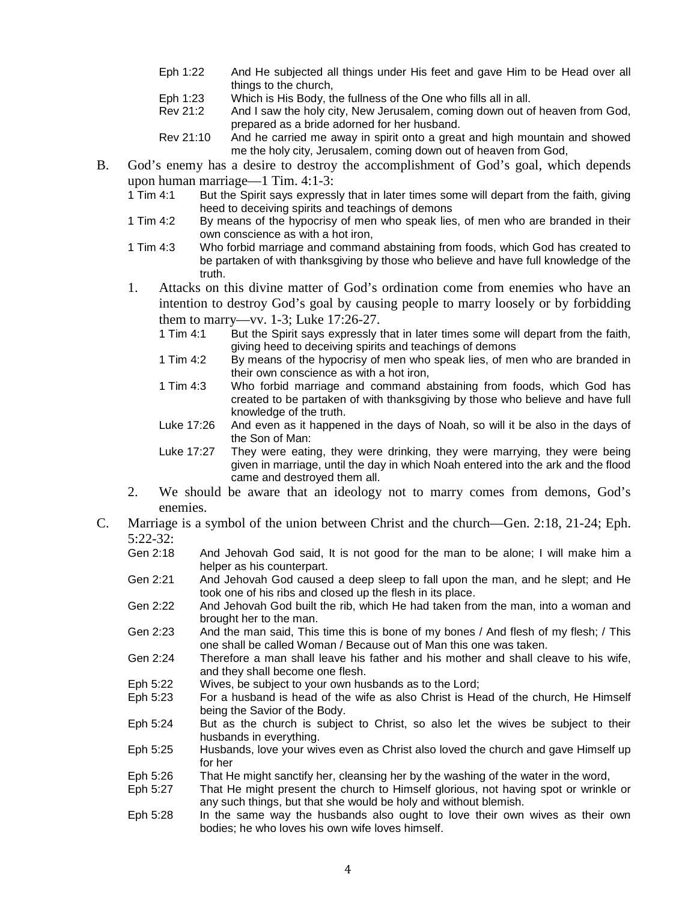- Eph 1:22 And He subjected all things under His feet and gave Him to be Head over all things to the church,
- Eph 1:23 Which is His Body, the fullness of the One who fills all in all.<br>Rev 21:2 And I saw the holy city. New Jerusalem. coming down out o
- And I saw the holy city, New Jerusalem, coming down out of heaven from God, prepared as a bride adorned for her husband.
- Rev 21:10 And he carried me away in spirit onto a great and high mountain and showed me the holy city, Jerusalem, coming down out of heaven from God,
- B. God's enemy has a desire to destroy the accomplishment of God's goal, which depends upon human marriage—1 Tim. 4:1-3:<br>1 Tim 4:1 But the Spirit says express
	- But the Spirit says expressly that in later times some will depart from the faith, giving heed to deceiving spirits and teachings of demons
	- 1 Tim 4:2 By means of the hypocrisy of men who speak lies, of men who are branded in their own conscience as with a hot iron,
	- 1 Tim 4:3 Who forbid marriage and command abstaining from foods, which God has created to be partaken of with thanksgiving by those who believe and have full knowledge of the truth.
	- 1. Attacks on this divine matter of God's ordination come from enemies who have an intention to destroy God's goal by causing people to marry loosely or by forbidding them to marry—vv. 1-3; Luke 17:26-27.
		- 1 Tim 4:1 But the Spirit says expressly that in later times some will depart from the faith, giving heed to deceiving spirits and teachings of demons
		- 1 Tim 4:2 By means of the hypocrisy of men who speak lies, of men who are branded in their own conscience as with a hot iron,
		- 1 Tim 4:3 Who forbid marriage and command abstaining from foods, which God has created to be partaken of with thanksgiving by those who believe and have full knowledge of the truth.
		- Luke 17:26 And even as it happened in the days of Noah, so will it be also in the days of the Son of Man:
		- Luke 17:27 They were eating, they were drinking, they were marrying, they were being given in marriage, until the day in which Noah entered into the ark and the flood came and destroyed them all.
	- 2. We should be aware that an ideology not to marry comes from demons, God's enemies.
- C. Marriage is a symbol of the union between Christ and the church—Gen. 2:18, 21-24; Eph. 5:22-32:
	- Gen 2:18 And Jehovah God said, It is not good for the man to be alone; I will make him a helper as his counterpart.
	- Gen 2:21 And Jehovah God caused a deep sleep to fall upon the man, and he slept; and He took one of his ribs and closed up the flesh in its place.
	- Gen 2:22 And Jehovah God built the rib, which He had taken from the man, into a woman and brought her to the man.
	- Gen 2:23 And the man said, This time this is bone of my bones / And flesh of my flesh; / This one shall be called Woman / Because out of Man this one was taken.
	- Gen 2:24 Therefore a man shall leave his father and his mother and shall cleave to his wife, and they shall become one flesh.
	- Eph 5:22 Wives, be subject to your own husbands as to the Lord;
	- Eph 5:23 For a husband is head of the wife as also Christ is Head of the church, He Himself being the Savior of the Body.
	- Eph 5:24 But as the church is subject to Christ, so also let the wives be subject to their husbands in everything.
	- Eph 5:25 Husbands, love your wives even as Christ also loved the church and gave Himself up for her
	- Eph 5:26 That He might sanctify her, cleansing her by the washing of the water in the word,
	- Eph 5:27 That He might present the church to Himself glorious, not having spot or wrinkle or any such things, but that she would be holy and without blemish.
	- Eph 5:28 In the same way the husbands also ought to love their own wives as their own bodies; he who loves his own wife loves himself.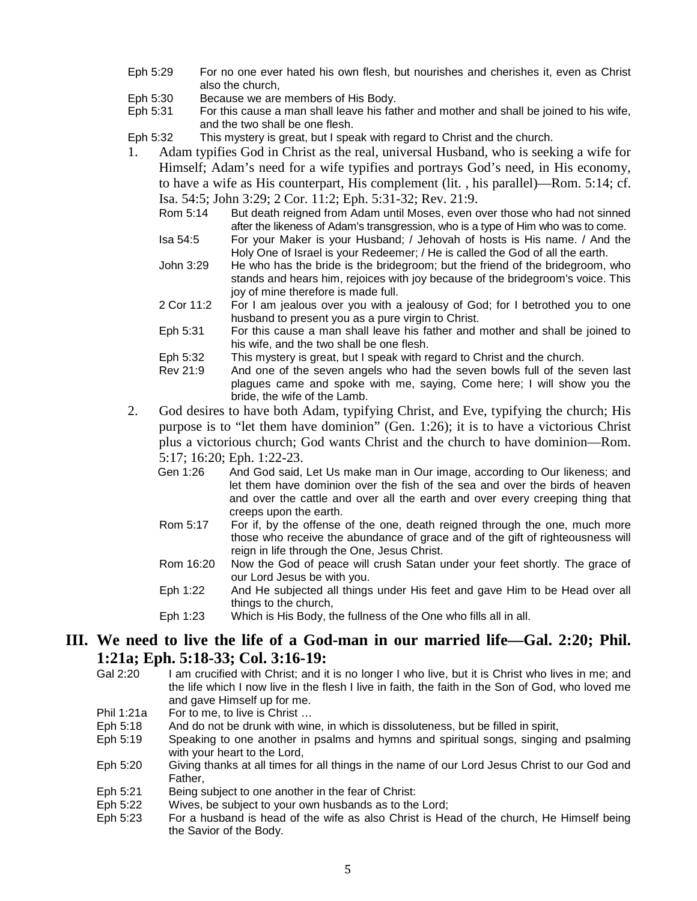- Eph 5:29 For no one ever hated his own flesh, but nourishes and cherishes it, even as Christ also the church,
- Eph 5:30 Because we are members of His Body.<br>Eph 5:31 For this cause a man shall leave his fat
- For this cause a man shall leave his father and mother and shall be joined to his wife, and the two shall be one flesh.
- Eph 5:32 This mystery is great, but I speak with regard to Christ and the church.
- 1. Adam typifies God in Christ as the real, universal Husband, who is seeking a wife for Himself; Adam's need for a wife typifies and portrays God's need, in His economy, to have a wife as His counterpart, His complement (lit. , his parallel)—Rom. 5:14; cf. Isa. 54:5; John 3:29; 2 Cor. 11:2; Eph. 5:31-32; Rev. 21:9.
	- Rom 5:14 But death reigned from Adam until Moses, even over those who had not sinned after the likeness of Adam's transgression, who is a type of Him who was to come.
	- Isa 54:5 For your Maker is your Husband; / Jehovah of hosts is His name. / And the Holy One of Israel is your Redeemer; / He is called the God of all the earth.
	- John 3:29 He who has the bride is the bridegroom; but the friend of the bridegroom, who stands and hears him, rejoices with joy because of the bridegroom's voice. This joy of mine therefore is made full.
	- 2 Cor 11:2 For I am jealous over you with a jealousy of God; for I betrothed you to one husband to present you as a pure virgin to Christ.
	- Eph 5:31 For this cause a man shall leave his father and mother and shall be joined to his wife, and the two shall be one flesh.
	- Eph 5:32 This mystery is great, but I speak with regard to Christ and the church.
	- Rev 21:9 And one of the seven angels who had the seven bowls full of the seven last plagues came and spoke with me, saying, Come here; I will show you the bride, the wife of the Lamb.
- 2. God desires to have both Adam, typifying Christ, and Eve, typifying the church; His purpose is to "let them have dominion" (Gen. 1:26); it is to have a victorious Christ plus a victorious church; God wants Christ and the church to have dominion—Rom. 5:17; 16:20; Eph. 1:22-23.
	- Gen 1:26 And God said, Let Us make man in Our image, according to Our likeness; and let them have dominion over the fish of the sea and over the birds of heaven and over the cattle and over all the earth and over every creeping thing that creeps upon the earth.
	- Rom 5:17 For if, by the offense of the one, death reigned through the one, much more those who receive the abundance of grace and of the gift of righteousness will reign in life through the One, Jesus Christ.
	- Rom 16:20 Now the God of peace will crush Satan under your feet shortly. The grace of our Lord Jesus be with you.
	- Eph 1:22 And He subjected all things under His feet and gave Him to be Head over all things to the church,
	- Eph 1:23 Which is His Body, the fullness of the One who fills all in all.

# **III. We need to live the life of a God-man in our married life—Gal. 2:20; Phil. 1:21a; Eph. 5:18-33; Col. 3:16-19:**<br>Gal 2:20 **Lam crucified with Christ: and it**

- I am crucified with Christ; and it is no longer I who live, but it is Christ who lives in me; and the life which I now live in the flesh I live in faith, the faith in the Son of God, who loved me and gave Himself up for me.
- Phil 1:21a For to me, to live is Christ ...
- Eph 5:18 And do not be drunk with wine, in which is dissoluteness, but be filled in spirit,
- Eph 5:19 Speaking to one another in psalms and hymns and spiritual songs, singing and psalming with your heart to the Lord,
- Eph 5:20 Giving thanks at all times for all things in the name of our Lord Jesus Christ to our God and Father,
- Eph 5:21 Being subject to one another in the fear of Christ:
- Eph 5:22 Wives, be subject to your own husbands as to the Lord;
- Eph 5:23 For a husband is head of the wife as also Christ is Head of the church, He Himself being the Savior of the Body.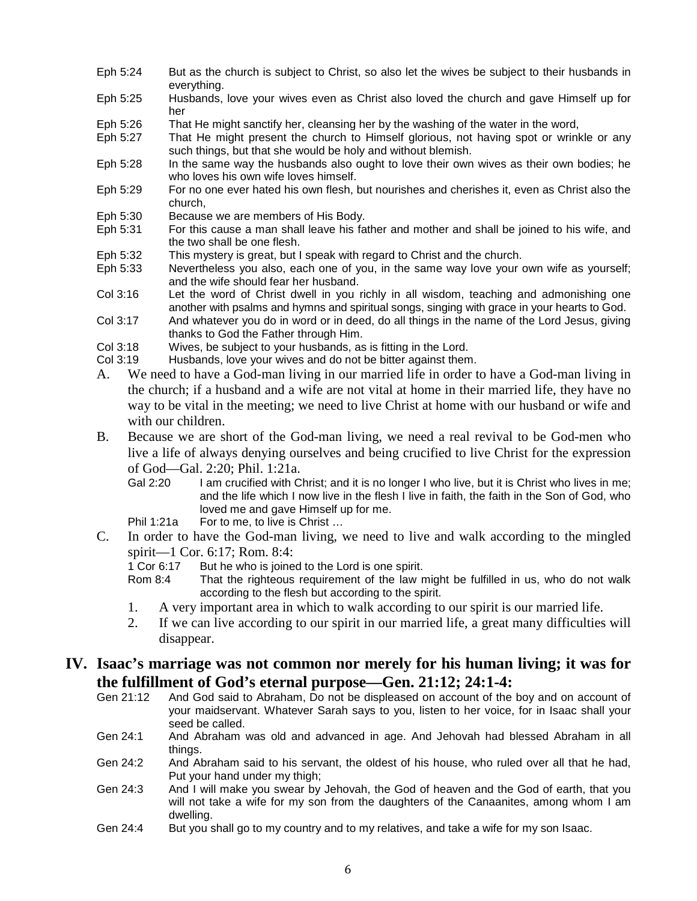- Eph 5:24 But as the church is subject to Christ, so also let the wives be subject to their husbands in everything.
- Eph 5:25 Husbands, love your wives even as Christ also loved the church and gave Himself up for her
- Eph 5:26 That He might sanctify her, cleansing her by the washing of the water in the word,
- Eph 5:27 That He might present the church to Himself glorious, not having spot or wrinkle or any such things, but that she would be holy and without blemish.
- Eph 5:28 In the same way the husbands also ought to love their own wives as their own bodies; he who loves his own wife loves himself.
- Eph 5:29 For no one ever hated his own flesh, but nourishes and cherishes it, even as Christ also the church,
- Eph 5:30 Because we are members of His Body.
- Eph 5:31 For this cause a man shall leave his father and mother and shall be joined to his wife, and the two shall be one flesh.
- Eph 5:32 This mystery is great, but I speak with regard to Christ and the church.<br>Eph 5:33 Nevertheless you also, each one of you, in the same way love your out
- Nevertheless you also, each one of you, in the same way love your own wife as yourself; and the wife should fear her husband.
- Col 3:16 Let the word of Christ dwell in you richly in all wisdom, teaching and admonishing one another with psalms and hymns and spiritual songs, singing with grace in your hearts to God.
- Col 3:17 And whatever you do in word or in deed, do all things in the name of the Lord Jesus, giving thanks to God the Father through Him.
- Col 3:18 Wives, be subject to your husbands, as is fitting in the Lord.
- Col 3:19 Husbands, love your wives and do not be bitter against them.
- A. We need to have a God-man living in our married life in order to have a God-man living in the church; if a husband and a wife are not vital at home in their married life, they have no way to be vital in the meeting; we need to live Christ at home with our husband or wife and with our children.
- B. Because we are short of the God-man living, we need a real revival to be God-men who live a life of always denying ourselves and being crucified to live Christ for the expression of God—Gal. 2:20; Phil. 1:21a.
	- Gal 2:20 I am crucified with Christ; and it is no longer I who live, but it is Christ who lives in me; and the life which I now live in the flesh I live in faith, the faith in the Son of God, who loved me and gave Himself up for me.

Phil 1:21a For to me, to live is Christ …

- C. In order to have the God-man living, we need to live and walk according to the mingled spirit—1 Cor. 6:17; Rom. 8:4:<br>1 Cor 6:17 But he who is joine
	- But he who is joined to the Lord is one spirit.
	- Rom 8:4 That the righteous requirement of the law might be fulfilled in us, who do not walk according to the flesh but according to the spirit.
	- 1. A very important area in which to walk according to our spirit is our married life.
	- 2. If we can live according to our spirit in our married life, a great many difficulties will disappear.

### **IV. Isaac's marriage was not common nor merely for his human living; it was for the fulfillment of God's eternal purpose—Gen. 21:12; 24:1-4:**

- Gen 21:12 And God said to Abraham, Do not be displeased on account of the boy and on account of your maidservant. Whatever Sarah says to you, listen to her voice, for in Isaac shall your seed be called.
- Gen 24:1 And Abraham was old and advanced in age. And Jehovah had blessed Abraham in all things.
- Gen 24:2 And Abraham said to his servant, the oldest of his house, who ruled over all that he had, Put your hand under my thigh;
- Gen 24:3 And I will make you swear by Jehovah, the God of heaven and the God of earth, that you will not take a wife for my son from the daughters of the Canaanites, among whom I am dwelling.
- Gen 24:4 But you shall go to my country and to my relatives, and take a wife for my son Isaac.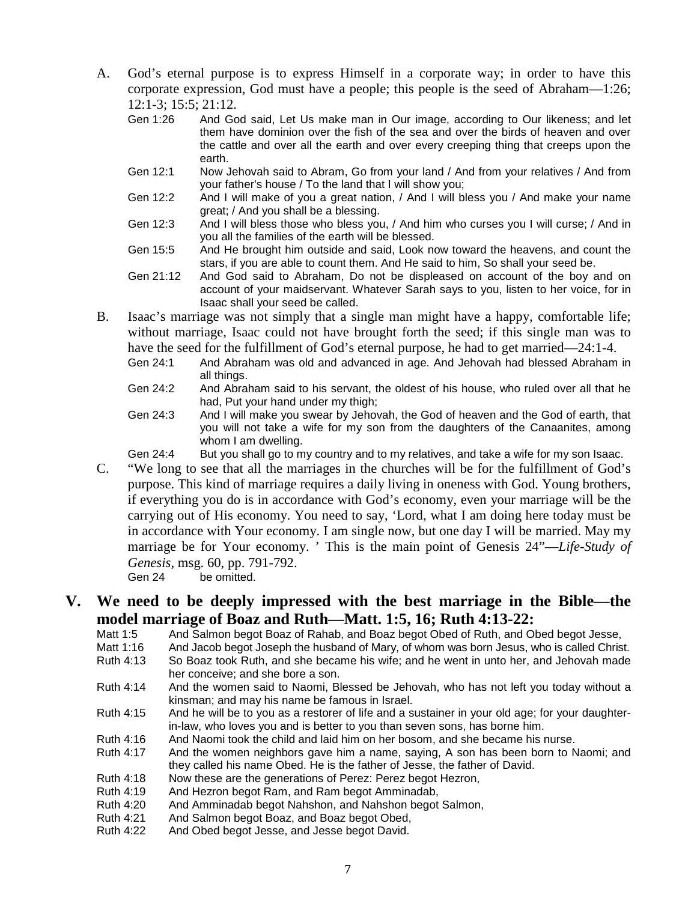- A. God's eternal purpose is to express Himself in a corporate way; in order to have this corporate expression, God must have a people; this people is the seed of Abraham—1:26; 12:1-3; 15:5; 21:12.<br>Gen 1:26 And Go
	- And God said, Let Us make man in Our image, according to Our likeness; and let them have dominion over the fish of the sea and over the birds of heaven and over the cattle and over all the earth and over every creeping thing that creeps upon the earth.
	- Gen 12:1 Now Jehovah said to Abram, Go from your land / And from your relatives / And from your father's house / To the land that I will show you;
	- Gen 12:2 And I will make of you a great nation, / And I will bless you / And make your name great; / And you shall be a blessing.
	- Gen 12:3 And I will bless those who bless you, / And him who curses you I will curse; / And in you all the families of the earth will be blessed.
	- Gen 15:5 And He brought him outside and said, Look now toward the heavens, and count the stars, if you are able to count them. And He said to him, So shall your seed be.
	- Gen 21:12 And God said to Abraham, Do not be displeased on account of the boy and on account of your maidservant. Whatever Sarah says to you, listen to her voice, for in Isaac shall your seed be called.
- B. Isaac's marriage was not simply that a single man might have a happy, comfortable life; without marriage, Isaac could not have brought forth the seed; if this single man was to have the seed for the fulfillment of God's eternal purpose, he had to get married—24:1-4.
	- Gen 24:1 And Abraham was old and advanced in age. And Jehovah had blessed Abraham in all things.
	- Gen 24:2 And Abraham said to his servant, the oldest of his house, who ruled over all that he had, Put your hand under my thigh;
	- Gen 24:3 And I will make you swear by Jehovah, the God of heaven and the God of earth, that you will not take a wife for my son from the daughters of the Canaanites, among whom I am dwelling.
	- Gen 24:4 But you shall go to my country and to my relatives, and take a wife for my son Isaac.
- C. "We long to see that all the marriages in the churches will be for the fulfillment of God's purpose. This kind of marriage requires a daily living in oneness with God. Young brothers, if everything you do is in accordance with God's economy, even your marriage will be the carrying out of His economy. You need to say, 'Lord, what I am doing here today must be in accordance with Your economy. I am single now, but one day I will be married. May my marriage be for Your economy. ' This is the main point of Genesis 24"—*Life-Study of Genesis*, msg. 60, pp. 791-792.
	- Gen 24 be omitted.

# **V. We need to be deeply impressed with the best marriage in the Bible—the model marriage of Boaz and Ruth—Matt. 1:5, 16; Ruth 4:13-22:**<br>Matt 1:5 And Salmon begot Boaz of Rahab, and Boaz begot Obed of Ruth, and O

- And Salmon begot Boaz of Rahab, and Boaz begot Obed of Ruth, and Obed begot Jesse,
- Matt 1:16 And Jacob begot Joseph the husband of Mary, of whom was born Jesus, who is called Christ.
- Ruth 4:13 So Boaz took Ruth, and she became his wife; and he went in unto her, and Jehovah made her conceive; and she bore a son.
- Ruth 4:14 And the women said to Naomi, Blessed be Jehovah, who has not left you today without a kinsman; and may his name be famous in Israel.
- Ruth 4:15 And he will be to you as a restorer of life and a sustainer in your old age; for your daughterin-law, who loves you and is better to you than seven sons, has borne him.
- Ruth 4:16 And Naomi took the child and laid him on her bosom, and she became his nurse.<br>Ruth 4:17 And the women neighbors gave him a name, saving. A son has been born to N
- And the women neighbors gave him a name, saying, A son has been born to Naomi; and they called his name Obed. He is the father of Jesse, the father of David.
- Ruth 4:18 Now these are the generations of Perez: Perez begot Hezron,<br>Ruth 4:19 And Hezron begot Ram, and Ram begot Amminadab.
- And Hezron begot Ram, and Ram begot Amminadab,
- Ruth 4:20 And Amminadab begot Nahshon, and Nahshon begot Salmon,
- Ruth 4:21 And Salmon begot Boaz, and Boaz begot Obed,<br>Ruth 4:22 And Obed begot Jesse, and Jesse begot David.
- And Obed begot Jesse, and Jesse begot David.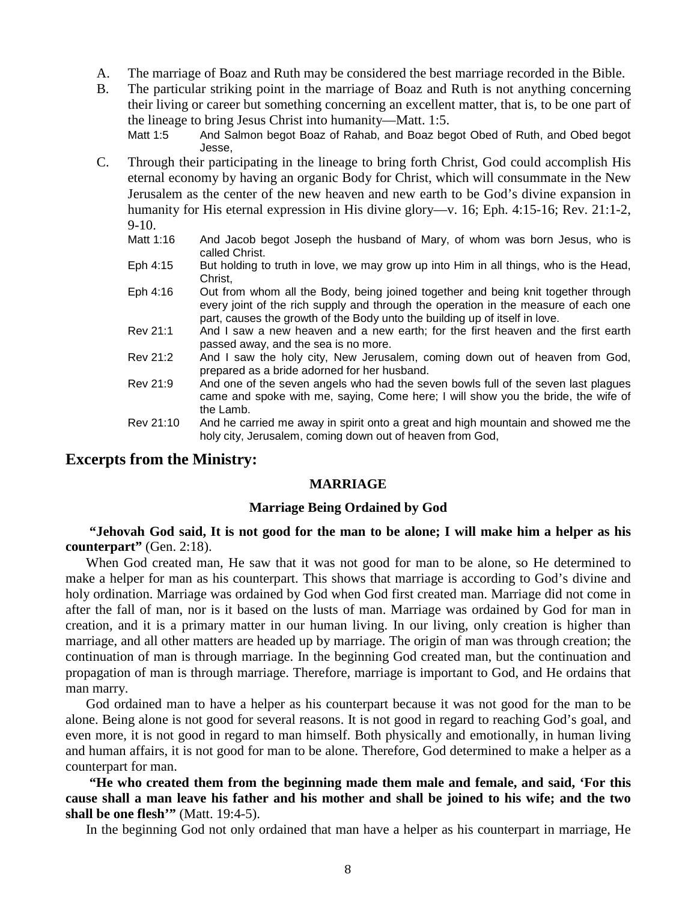- A. The marriage of Boaz and Ruth may be considered the best marriage recorded in the Bible.
- B. The particular striking point in the marriage of Boaz and Ruth is not anything concerning their living or career but something concerning an excellent matter, that is, to be one part of the lineage to bring Jesus Christ into humanity—Matt. 1:5.

Matt 1:5 And Salmon begot Boaz of Rahab, and Boaz begot Obed of Ruth, and Obed begot Jesse,

- C. Through their participating in the lineage to bring forth Christ, God could accomplish His eternal economy by having an organic Body for Christ, which will consummate in the New Jerusalem as the center of the new heaven and new earth to be God's divine expansion in humanity for His eternal expression in His divine glory—v. 16; Eph. 4:15-16; Rev. 21:1-2, 9-10.<br>Matt 1:16
	- And Jacob begot Joseph the husband of Mary, of whom was born Jesus, who is called Christ.
	- Eph 4:15 But holding to truth in love, we may grow up into Him in all things, who is the Head, Christ,
	- Eph 4:16 Out from whom all the Body, being joined together and being knit together through every joint of the rich supply and through the operation in the measure of each one part, causes the growth of the Body unto the building up of itself in love.
	- Rev 21:1 And I saw a new heaven and a new earth; for the first heaven and the first earth passed away, and the sea is no more.
	- Rev 21:2 And I saw the holy city, New Jerusalem, coming down out of heaven from God, prepared as a bride adorned for her husband.
	- Rev 21:9 And one of the seven angels who had the seven bowls full of the seven last plagues came and spoke with me, saying, Come here; I will show you the bride, the wife of the Lamb.
	- Rev 21:10 And he carried me away in spirit onto a great and high mountain and showed me the holy city, Jerusalem, coming down out of heaven from God,

### **Excerpts from the Ministry:**

#### **MARRIAGE**

#### **Marriage Being Ordained by God**

**"Jehovah God said, It is not good for the man to be alone; I will make him a helper as his counterpart"** (Gen. 2:18).

When God created man, He saw that it was not good for man to be alone, so He determined to make a helper for man as his counterpart. This shows that marriage is according to God's divine and holy ordination. Marriage was ordained by God when God first created man. Marriage did not come in after the fall of man, nor is it based on the lusts of man. Marriage was ordained by God for man in creation, and it is a primary matter in our human living. In our living, only creation is higher than marriage, and all other matters are headed up by marriage. The origin of man was through creation; the continuation of man is through marriage. In the beginning God created man, but the continuation and propagation of man is through marriage. Therefore, marriage is important to God, and He ordains that man marry.

God ordained man to have a helper as his counterpart because it was not good for the man to be alone. Being alone is not good for several reasons. It is not good in regard to reaching God's goal, and even more, it is not good in regard to man himself. Both physically and emotionally, in human living and human affairs, it is not good for man to be alone. Therefore, God determined to make a helper as a counterpart for man.

**"He who created them from the beginning made them male and female, and said, 'For this cause shall a man leave his father and his mother and shall be joined to his wife; and the two shall be one flesh'"** (Matt. 19:4-5).

In the beginning God not only ordained that man have a helper as his counterpart in marriage, He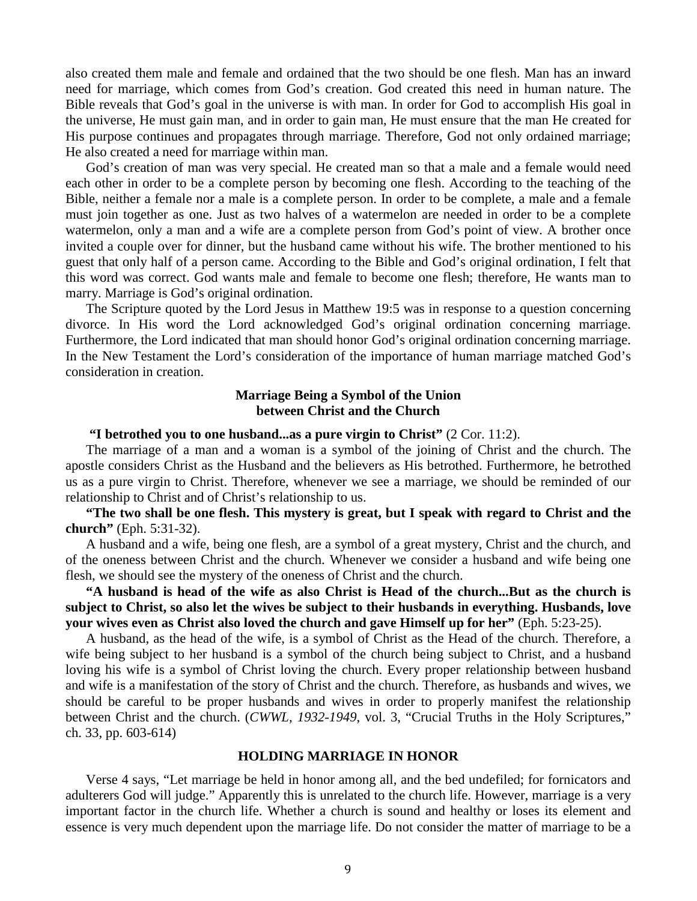also created them male and female and ordained that the two should be one flesh. Man has an inward need for marriage, which comes from God's creation. God created this need in human nature. The Bible reveals that God's goal in the universe is with man. In order for God to accomplish His goal in the universe, He must gain man, and in order to gain man, He must ensure that the man He created for His purpose continues and propagates through marriage. Therefore, God not only ordained marriage; He also created a need for marriage within man.

God's creation of man was very special. He created man so that a male and a female would need each other in order to be a complete person by becoming one flesh. According to the teaching of the Bible, neither a female nor a male is a complete person. In order to be complete, a male and a female must join together as one. Just as two halves of a watermelon are needed in order to be a complete watermelon, only a man and a wife are a complete person from God's point of view. A brother once invited a couple over for dinner, but the husband came without his wife. The brother mentioned to his guest that only half of a person came. According to the Bible and God's original ordination, I felt that this word was correct. God wants male and female to become one flesh; therefore, He wants man to marry. Marriage is God's original ordination.

The Scripture quoted by the Lord Jesus in Matthew 19:5 was in response to a question concerning divorce. In His word the Lord acknowledged God's original ordination concerning marriage. Furthermore, the Lord indicated that man should honor God's original ordination concerning marriage. In the New Testament the Lord's consideration of the importance of human marriage matched God's consideration in creation.

### **Marriage Being a Symbol of the Union between Christ and the Church**

#### **"I betrothed you to one husband...as a pure virgin to Christ"** (2 Cor. 11:2).

The marriage of a man and a woman is a symbol of the joining of Christ and the church. The apostle considers Christ as the Husband and the believers as His betrothed. Furthermore, he betrothed us as a pure virgin to Christ. Therefore, whenever we see a marriage, we should be reminded of our relationship to Christ and of Christ's relationship to us.

**"The two shall be one flesh. This mystery is great, but I speak with regard to Christ and the church"** (Eph. 5:31-32).

A husband and a wife, being one flesh, are a symbol of a great mystery, Christ and the church, and of the oneness between Christ and the church. Whenever we consider a husband and wife being one flesh, we should see the mystery of the oneness of Christ and the church.

**"A husband is head of the wife as also Christ is Head of the church...But as the church is subject to Christ, so also let the wives be subject to their husbands in everything. Husbands, love your wives even as Christ also loved the church and gave Himself up for her"** (Eph. 5:23-25).

A husband, as the head of the wife, is a symbol of Christ as the Head of the church. Therefore, a wife being subject to her husband is a symbol of the church being subject to Christ, and a husband loving his wife is a symbol of Christ loving the church. Every proper relationship between husband and wife is a manifestation of the story of Christ and the church. Therefore, as husbands and wives, we should be careful to be proper husbands and wives in order to properly manifest the relationship between Christ and the church. (*CWWL, 1932-1949*, vol. 3, "Crucial Truths in the Holy Scriptures," ch. 33, pp. 603-614)

#### **HOLDING MARRIAGE IN HONOR**

Verse 4 says, "Let marriage be held in honor among all, and the bed undefiled; for fornicators and adulterers God will judge." Apparently this is unrelated to the church life. However, marriage is a very important factor in the church life. Whether a church is sound and healthy or loses its element and essence is very much dependent upon the marriage life. Do not consider the matter of marriage to be a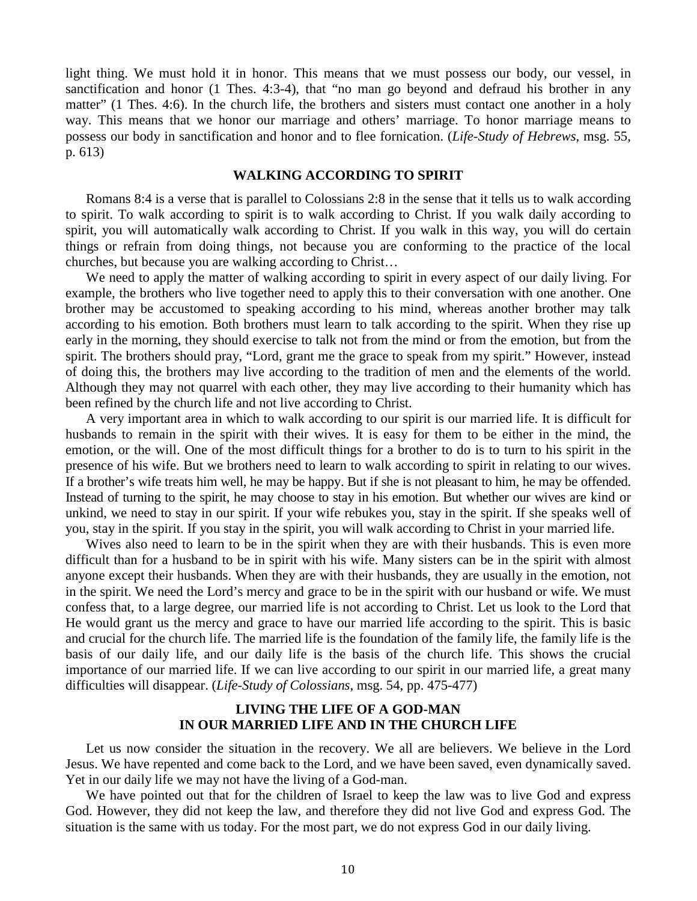light thing. We must hold it in honor. This means that we must possess our body, our vessel, in sanctification and honor (1 Thes. 4:3-4), that "no man go beyond and defraud his brother in any matter" (1 Thes. 4:6). In the church life, the brothers and sisters must contact one another in a holy way. This means that we honor our marriage and others' marriage. To honor marriage means to possess our body in sanctification and honor and to flee fornication. (*Life-Study of Hebrews*, msg. 55, p. 613)

### **WALKING ACCORDING TO SPIRIT**

Romans 8:4 is a verse that is parallel to Colossians 2:8 in the sense that it tells us to walk according to spirit. To walk according to spirit is to walk according to Christ. If you walk daily according to spirit, you will automatically walk according to Christ. If you walk in this way, you will do certain things or refrain from doing things, not because you are conforming to the practice of the local churches, but because you are walking according to Christ…

We need to apply the matter of walking according to spirit in every aspect of our daily living. For example, the brothers who live together need to apply this to their conversation with one another. One brother may be accustomed to speaking according to his mind, whereas another brother may talk according to his emotion. Both brothers must learn to talk according to the spirit. When they rise up early in the morning, they should exercise to talk not from the mind or from the emotion, but from the spirit. The brothers should pray, "Lord, grant me the grace to speak from my spirit." However, instead of doing this, the brothers may live according to the tradition of men and the elements of the world. Although they may not quarrel with each other, they may live according to their humanity which has been refined by the church life and not live according to Christ.

A very important area in which to walk according to our spirit is our married life. It is difficult for husbands to remain in the spirit with their wives. It is easy for them to be either in the mind, the emotion, or the will. One of the most difficult things for a brother to do is to turn to his spirit in the presence of his wife. But we brothers need to learn to walk according to spirit in relating to our wives. If a brother's wife treats him well, he may be happy. But if she is not pleasant to him, he may be offended. Instead of turning to the spirit, he may choose to stay in his emotion. But whether our wives are kind or unkind, we need to stay in our spirit. If your wife rebukes you, stay in the spirit. If she speaks well of you, stay in the spirit. If you stay in the spirit, you will walk according to Christ in your married life.

Wives also need to learn to be in the spirit when they are with their husbands. This is even more difficult than for a husband to be in spirit with his wife. Many sisters can be in the spirit with almost anyone except their husbands. When they are with their husbands, they are usually in the emotion, not in the spirit. We need the Lord's mercy and grace to be in the spirit with our husband or wife. We must confess that, to a large degree, our married life is not according to Christ. Let us look to the Lord that He would grant us the mercy and grace to have our married life according to the spirit. This is basic and crucial for the church life. The married life is the foundation of the family life, the family life is the basis of our daily life, and our daily life is the basis of the church life. This shows the crucial importance of our married life. If we can live according to our spirit in our married life, a great many difficulties will disappear. (*Life-Study of Colossians*, msg. 54, pp. 475-477)

### **LIVING THE LIFE OF A GOD-MAN IN OUR MARRIED LIFE AND IN THE CHURCH LIFE**

Let us now consider the situation in the recovery. We all are believers. We believe in the Lord Jesus. We have repented and come back to the Lord, and we have been saved, even dynamically saved. Yet in our daily life we may not have the living of a God-man.

We have pointed out that for the children of Israel to keep the law was to live God and express God. However, they did not keep the law, and therefore they did not live God and express God. The situation is the same with us today. For the most part, we do not express God in our daily living.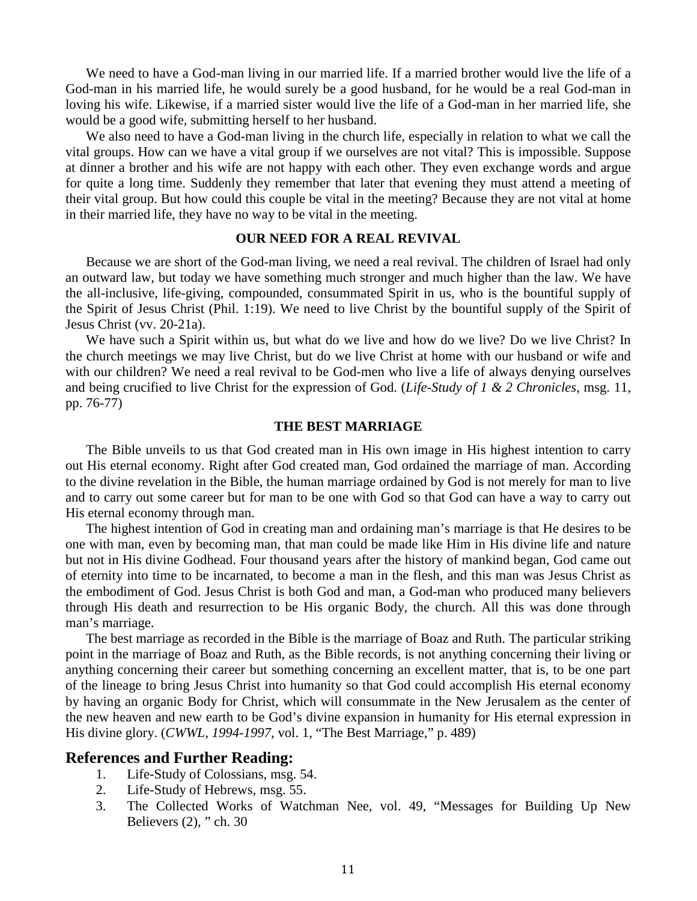We need to have a God-man living in our married life. If a married brother would live the life of a God-man in his married life, he would surely be a good husband, for he would be a real God-man in loving his wife. Likewise, if a married sister would live the life of a God-man in her married life, she would be a good wife, submitting herself to her husband.

We also need to have a God-man living in the church life, especially in relation to what we call the vital groups. How can we have a vital group if we ourselves are not vital? This is impossible. Suppose at dinner a brother and his wife are not happy with each other. They even exchange words and argue for quite a long time. Suddenly they remember that later that evening they must attend a meeting of their vital group. But how could this couple be vital in the meeting? Because they are not vital at home in their married life, they have no way to be vital in the meeting.

### **OUR NEED FOR A REAL REVIVAL**

Because we are short of the God-man living, we need a real revival. The children of Israel had only an outward law, but today we have something much stronger and much higher than the law. We have the all-inclusive, life-giving, compounded, consummated Spirit in us, who is the bountiful supply of the Spirit of Jesus Christ (Phil. 1:19). We need to live Christ by the bountiful supply of the Spirit of Jesus Christ (vv. 20-21a).

We have such a Spirit within us, but what do we live and how do we live? Do we live Christ? In the church meetings we may live Christ, but do we live Christ at home with our husband or wife and with our children? We need a real revival to be God-men who live a life of always denying ourselves and being crucified to live Christ for the expression of God. (*Life-Study of 1 & 2 Chronicles*, msg. 11, pp. 76-77)

#### **THE BEST MARRIAGE**

The Bible unveils to us that God created man in His own image in His highest intention to carry out His eternal economy. Right after God created man, God ordained the marriage of man. According to the divine revelation in the Bible, the human marriage ordained by God is not merely for man to live and to carry out some career but for man to be one with God so that God can have a way to carry out His eternal economy through man.

The highest intention of God in creating man and ordaining man's marriage is that He desires to be one with man, even by becoming man, that man could be made like Him in His divine life and nature but not in His divine Godhead. Four thousand years after the history of mankind began, God came out of eternity into time to be incarnated, to become a man in the flesh, and this man was Jesus Christ as the embodiment of God. Jesus Christ is both God and man, a God-man who produced many believers through His death and resurrection to be His organic Body, the church. All this was done through man's marriage.

The best marriage as recorded in the Bible is the marriage of Boaz and Ruth. The particular striking point in the marriage of Boaz and Ruth, as the Bible records, is not anything concerning their living or anything concerning their career but something concerning an excellent matter, that is, to be one part of the lineage to bring Jesus Christ into humanity so that God could accomplish His eternal economy by having an organic Body for Christ, which will consummate in the New Jerusalem as the center of the new heaven and new earth to be God's divine expansion in humanity for His eternal expression in His divine glory. (*CWWL, 1994-1997*, vol. 1, "The Best Marriage," p. 489)

### **References and Further Reading:**

- 1. Life-Study of Colossians, msg. 54.
- 2. Life-Study of Hebrews, msg. 55.
- 3. The Collected Works of Watchman Nee, vol. 49, "Messages for Building Up New Believers (2), " ch. 30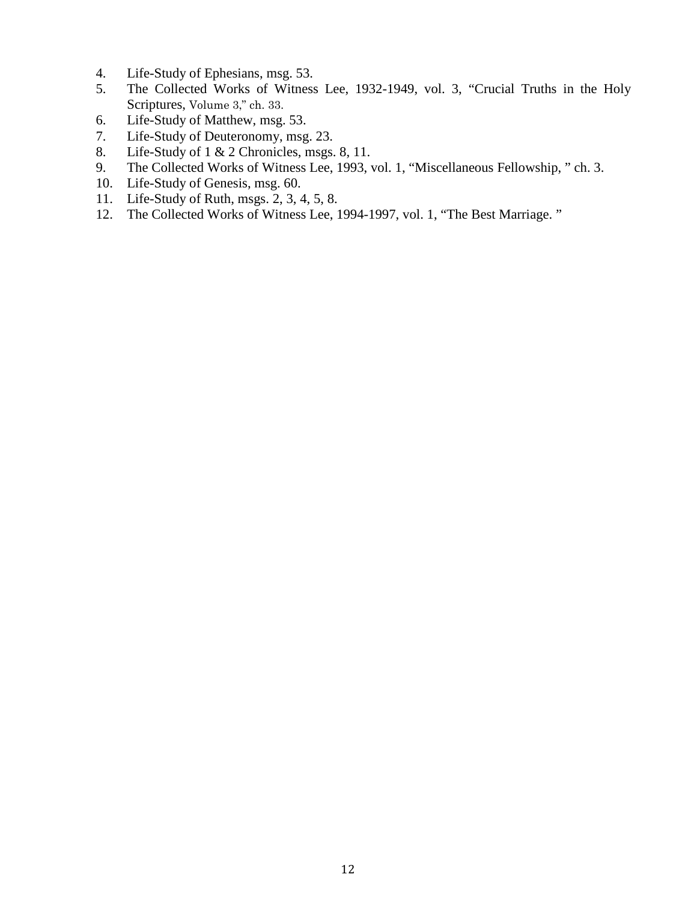- 4. Life-Study of Ephesians, msg. 53.
- 5. The Collected Works of Witness Lee, 1932-1949, vol. 3, "Crucial Truths in the Holy Scriptures, Volume 3," ch. 33.
- 6. Life-Study of Matthew, msg. 53.
- 7. Life-Study of Deuteronomy, msg. 23.
- 8. Life-Study of 1 & 2 Chronicles, msgs. 8, 11.
- 9. The Collected Works of Witness Lee, 1993, vol. 1, "Miscellaneous Fellowship, " ch. 3.
- 10. Life-Study of Genesis, msg. 60.
- 11. Life-Study of Ruth, msgs. 2, 3, 4, 5, 8.
- 12. The Collected Works of Witness Lee, 1994-1997, vol. 1, "The Best Marriage. "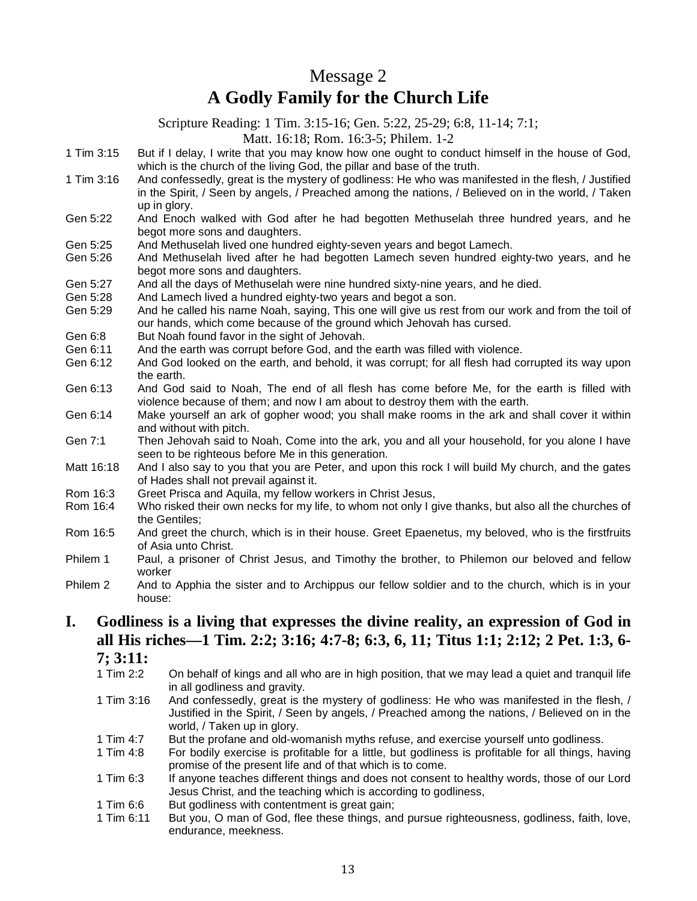## Message 2 **A Godly Family for the Church Life**

Scripture Reading: 1 Tim. 3:15-16; Gen. 5:22, 25-29; 6:8, 11-14; 7:1;

Matt. 16:18; Rom. 16:3-5; Philem. 1-2

- 1 Tim 3:15 But if I delay, I write that you may know how one ought to conduct himself in the house of God, which is the church of the living God, the pillar and base of the truth.
- 1 Tim 3:16 And confessedly, great is the mystery of godliness: He who was manifested in the flesh, / Justified in the Spirit, / Seen by angels, / Preached among the nations, / Believed on in the world, / Taken up in glory.
- Gen 5:22 And Enoch walked with God after he had begotten Methuselah three hundred years, and he begot more sons and daughters.
- Gen 5:25 And Methuselah lived one hundred eighty-seven years and begot Lamech.
- Gen 5:26 And Methuselah lived after he had begotten Lamech seven hundred eighty-two years, and he begot more sons and daughters.
- Gen 5:27 And all the days of Methuselah were nine hundred sixty-nine years, and he died.
- Gen 5:28 And Lamech lived a hundred eighty-two years and begot a son.<br>Gen 5:29 And he called his name Noah, saving. This one will give us rest
- And he called his name Noah, saying, This one will give us rest from our work and from the toil of our hands, which come because of the ground which Jehovah has cursed.
- Gen 6:8 But Noah found favor in the sight of Jehovah.<br>Gen 6:11 And the earth was corrupt before God, and the
- And the earth was corrupt before God, and the earth was filled with violence.
- Gen 6:12 And God looked on the earth, and behold, it was corrupt; for all flesh had corrupted its way upon the earth.
- Gen 6:13 And God said to Noah, The end of all flesh has come before Me, for the earth is filled with violence because of them; and now I am about to destroy them with the earth.
- Gen 6:14 Make yourself an ark of gopher wood; you shall make rooms in the ark and shall cover it within and without with pitch.
- Gen 7:1 Then Jehovah said to Noah, Come into the ark, you and all your household, for you alone I have seen to be righteous before Me in this generation.
- Matt 16:18 And I also say to you that you are Peter, and upon this rock I will build My church, and the gates of Hades shall not prevail against it.
- Rom 16:3 Greet Prisca and Aquila, my fellow workers in Christ Jesus,<br>Rom 16:4 Who risked their own necks for my life, to whom not only I a
- Who risked their own necks for my life, to whom not only I give thanks, but also all the churches of the Gentiles;
- Rom 16:5 And greet the church, which is in their house. Greet Epaenetus, my beloved, who is the firstfruits of Asia unto Christ.
- Philem 1 Paul, a prisoner of Christ Jesus, and Timothy the brother, to Philemon our beloved and fellow worker
- Philem 2 And to Apphia the sister and to Archippus our fellow soldier and to the church, which is in your house:

## **I. Godliness is a living that expresses the divine reality, an expression of God in all His riches—1 Tim. 2:2; 3:16; 4:7-8; 6:3, 6, 11; Titus 1:1; 2:12; 2 Pet. 1:3, 6-**

**7; 3:11:**

- On behalf of kings and all who are in high position, that we may lead a quiet and tranquil life in all godliness and gravity.
- 1 Tim 3:16 And confessedly, great is the mystery of godliness: He who was manifested in the flesh, / Justified in the Spirit, / Seen by angels, / Preached among the nations, / Believed on in the world, / Taken up in glory.
- 1 Tim 4:7 But the profane and old-womanish myths refuse, and exercise yourself unto godliness.<br>1 Tim 4:8 For bodily exercise is profitable for a little, but godliness is profitable for all things, ha
- For bodily exercise is profitable for a little, but godliness is profitable for all things, having promise of the present life and of that which is to come.
- 1 Tim 6:3 If anyone teaches different things and does not consent to healthy words, those of our Lord Jesus Christ, and the teaching which is according to godliness,
- 1 Tim 6:6 But godliness with contentment is great gain;
- 1 Tim 6:11 But you, O man of God, flee these things, and pursue righteousness, godliness, faith, love, endurance, meekness.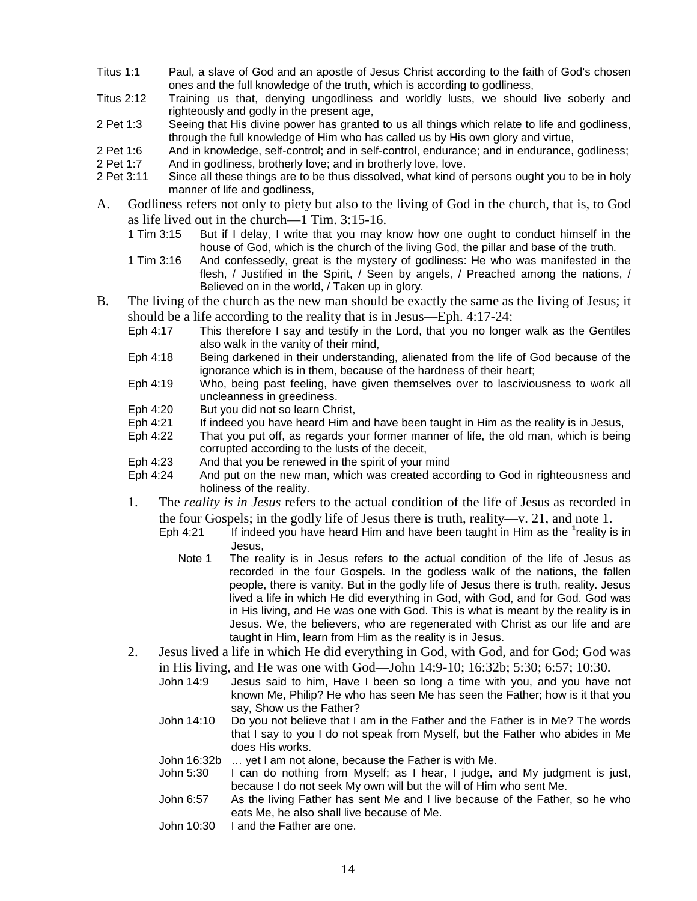- Titus 1:1 Paul, a slave of God and an apostle of Jesus Christ according to the faith of God's chosen ones and the full knowledge of the truth, which is according to godliness,
- Titus 2:12 Training us that, denying ungodliness and worldly lusts, we should live soberly and righteously and godly in the present age,
- 2 Pet 1:3 Seeing that His divine power has granted to us all things which relate to life and godliness, through the full knowledge of Him who has called us by His own glory and virtue,
- 2 Pet 1:6 And in knowledge, self-control; and in self-control, endurance; and in endurance, godliness;
- 2 Pet 1:7 And in godliness, brotherly love; and in brotherly love, love.
- 2 Pet 3:11 Since all these things are to be thus dissolved, what kind of persons ought you to be in holy manner of life and godliness,
- A. Godliness refers not only to piety but also to the living of God in the church, that is, to God as life lived out in the church—1 Tim.  $3:15-16$ .<br>1 Tim  $3:15$  But if I delay, I write that you may k
	- But if I delay, I write that you may know how one ought to conduct himself in the house of God, which is the church of the living God, the pillar and base of the truth.
	- 1 Tim 3:16 And confessedly, great is the mystery of godliness: He who was manifested in the flesh, / Justified in the Spirit, / Seen by angels, / Preached among the nations, / Believed on in the world, / Taken up in glory.
- B. The living of the church as the new man should be exactly the same as the living of Jesus; it should be a life according to the reality that is in Jesus—Eph. 4:17-24:
	- Eph 4:17 This therefore I say and testify in the Lord, that you no longer walk as the Gentiles also walk in the vanity of their mind,
	- Eph 4:18 Being darkened in their understanding, alienated from the life of God because of the ignorance which is in them, because of the hardness of their heart;
	- Eph 4:19 Who, being past feeling, have given themselves over to lasciviousness to work all uncleanness in greediness.
	- Eph 4:20 But you did not so learn Christ,
	- Eph 4:21 If indeed you have heard Him and have been taught in Him as the reality is in Jesus,
	- Eph 4:22 That you put off, as regards your former manner of life, the old man, which is being corrupted according to the lusts of the deceit,
	- Eph 4:23 And that you be renewed in the spirit of your mind<br>Eph 4:24 And put on the new man, which was created acco
	- And put on the new man, which was created according to God in righteousness and holiness of the reality.
	- 1. The *reality is in Jesus* refers to the actual condition of the life of Jesus as recorded in the four Gospels; in the godly life of Jesus there is truth, reality—v. 21, and note 1.
		- Eph 4:21 If indeed you have heard Him and have been taught in Him as the <sup>1</sup>reality is in Jesus,
			- Note 1 The reality is in Jesus refers to the actual condition of the life of Jesus as recorded in the four Gospels. In the godless walk of the nations, the fallen people, there is vanity. But in the godly life of Jesus there is truth, reality. Jesus lived a life in which He did everything in God, with God, and for God. God was in His living, and He was one with God. This is what is meant by the reality is in Jesus. We, the believers, who are regenerated with Christ as our life and are taught in Him, learn from Him as the reality is in Jesus.
	- 2. Jesus lived a life in which He did everything in God, with God, and for God; God was in His living, and He was one with God—John 14:9-10; 16:32b; 5:30; 6:57; 10:30.
		- John 14:9 Jesus said to him, Have I been so long a time with you, and you have not known Me, Philip? He who has seen Me has seen the Father; how is it that you say, Show us the Father?
		- John 14:10 Do you not believe that I am in the Father and the Father is in Me? The words that I say to you I do not speak from Myself, but the Father who abides in Me does His works.
		- John 16:32b … yet I am not alone, because the Father is with Me.
		- John 5:30 I can do nothing from Myself; as I hear, I judge, and My judgment is just, because I do not seek My own will but the will of Him who sent Me.
		- John 6:57 As the living Father has sent Me and I live because of the Father, so he who eats Me, he also shall live because of Me.
		- John 10:30 I and the Father are one.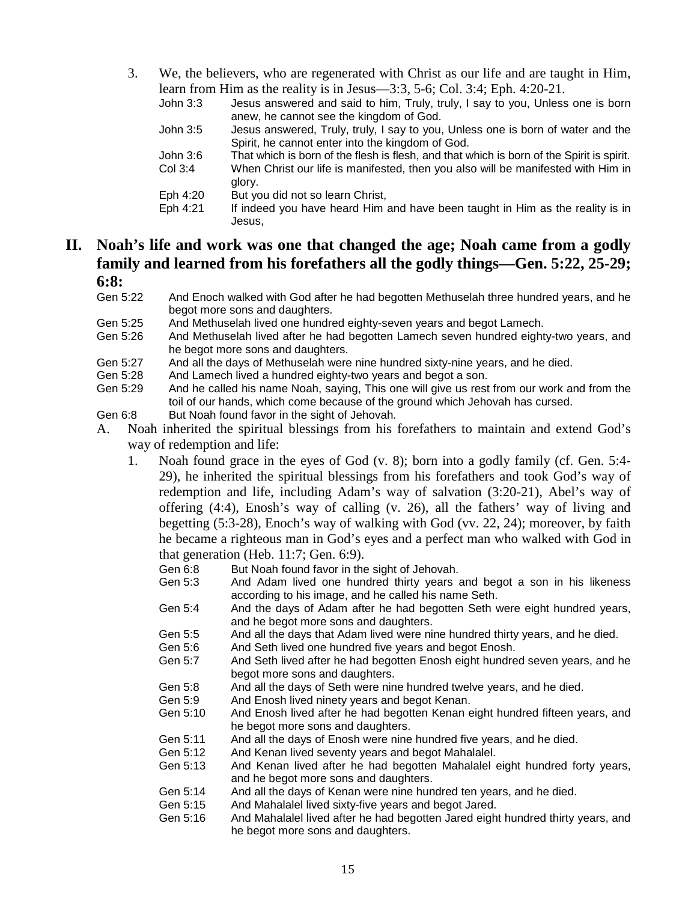3. We, the believers, who are regenerated with Christ as our life and are taught in Him, learn from Him as the reality is in Jesus—3:3, 5-6; Col. 3:4; Eph. 4:20-21.

|          | <b>ICALIT IT IT AND IT IS THE USUS</b> (10) IT IS THE USUS (10), $J$ -0, COI. J.T. LIPII. T.20-21. |
|----------|----------------------------------------------------------------------------------------------------|
| John 3:3 | Jesus answered and said to him, Truly, truly, I say to you, Unless one is born                     |
|          | anew, he cannot see the kingdom of God.                                                            |
| John 3:5 | Jesus answered, Truly, truly, I say to you, Unless one is born of water and the                    |
|          | Spirit, he cannot enter into the kingdom of God.                                                   |
| John 3:6 | That which is born of the flesh is flesh, and that which is born of the Spirit is spirit.          |
| Col 3:4  | When Christ our life is manifested, then you also will be manifested with Him in<br>glory.         |
| Eph 4:20 | But you did not so learn Christ,                                                                   |
| Eph 4:21 | If indeed you have heard Him and have been taught in Him as the reality is in<br>Jesus,            |
|          |                                                                                                    |

## **II. Noah's life and work was one that changed the age; Noah came from a godly family and learned from his forefathers all the godly things—Gen. 5:22, 25-29; 6:8:**

- Gen 5:22 And Enoch walked with God after he had begotten Methuselah three hundred years, and he begot more sons and daughters.
- Gen 5:25 And Methuselah lived one hundred eighty-seven years and begot Lamech.
- Gen 5:26 And Methuselah lived after he had begotten Lamech seven hundred eighty-two years, and he begot more sons and daughters.
- Gen 5:27 And all the days of Methuselah were nine hundred sixty-nine years, and he died.
- Gen 5:28 And Lamech lived a hundred eighty-two years and begot a son.
- Gen 5:29 And he called his name Noah, saying, This one will give us rest from our work and from the toil of our hands, which come because of the ground which Jehovah has cursed.
- Gen 6:8 But Noah found favor in the sight of Jehovah.
- A. Noah inherited the spiritual blessings from his forefathers to maintain and extend God's way of redemption and life:
	- 1. Noah found grace in the eyes of God (v. 8); born into a godly family (cf. Gen. 5:4- 29), he inherited the spiritual blessings from his forefathers and took God's way of redemption and life, including Adam's way of salvation (3:20-21), Abel's way of offering (4:4), Enosh's way of calling (v. 26), all the fathers' way of living and begetting (5:3-28), Enoch's way of walking with God (vv. 22, 24); moreover, by faith he became a righteous man in God's eyes and a perfect man who walked with God in that generation (Heb. 11:7; Gen. 6:9).<br>Gen 6:8 But Noah found favor in the
		- But Noah found favor in the sight of Jehovah.
		- Gen 5:3 And Adam lived one hundred thirty years and begot a son in his likeness according to his image, and he called his name Seth.
		- Gen 5:4 And the days of Adam after he had begotten Seth were eight hundred years, and he begot more sons and daughters.
		- Gen 5:5 And all the days that Adam lived were nine hundred thirty years, and he died.
		- Gen 5:6 And Seth lived one hundred five years and begot Enosh.
		- Gen 5:7 And Seth lived after he had begotten Enosh eight hundred seven years, and he begot more sons and daughters.
		- Gen 5:8 And all the days of Seth were nine hundred twelve years, and he died.
		- Gen 5:9 And Enosh lived ninety years and begot Kenan.<br>Gen 5:10 And Enosh lived after he had begotten Kenan e
		- And Enosh lived after he had begotten Kenan eight hundred fifteen years, and he begot more sons and daughters.
		- Gen 5:11 And all the days of Enosh were nine hundred five years, and he died.<br>Gen 5:12 And Kenan lived seventy years and begot Mahalalel.
		- And Kenan lived seventy years and begot Mahalalel.
		- Gen 5:13 And Kenan lived after he had begotten Mahalalel eight hundred forty years, and he begot more sons and daughters.
		- Gen 5:14 And all the days of Kenan were nine hundred ten years, and he died.
		- Gen 5:15 And Mahalalel lived sixty-five years and begot Jared.
		- Gen 5:16 And Mahalalel lived after he had begotten Jared eight hundred thirty years, and he begot more sons and daughters.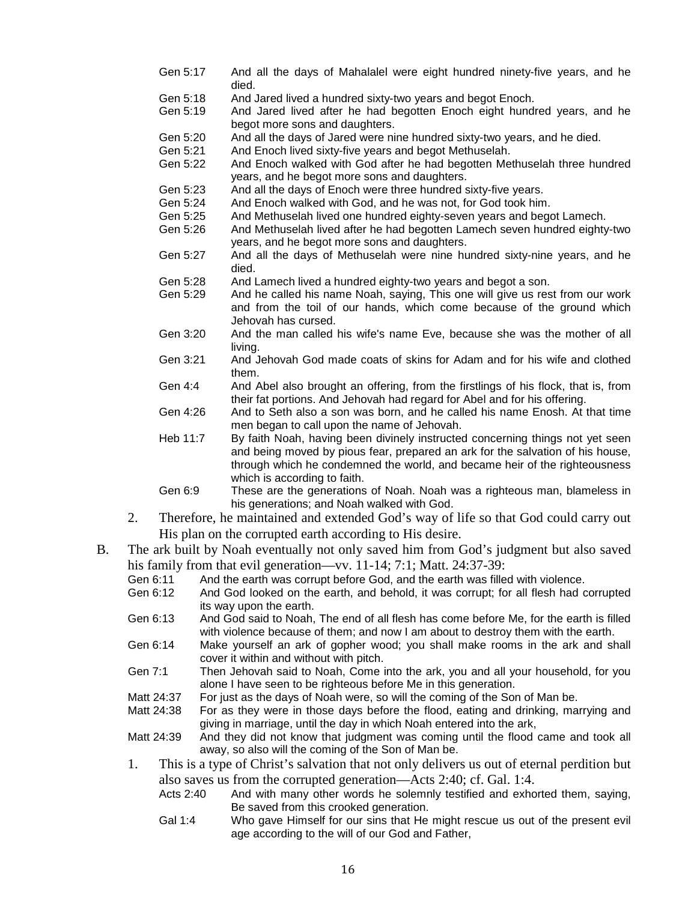- Gen 5:17 And all the days of Mahalalel were eight hundred ninety-five years, and he died.
- Gen 5:18 And Jared lived a hundred sixty-two years and begot Enoch.<br>Gen 5:19 And Jared lived after he had begotten Enoch eight hund
- And Jared lived after he had begotten Enoch eight hundred years, and he begot more sons and daughters.
- Gen 5:20 And all the days of Jared were nine hundred sixty-two years, and he died.
- Gen 5:21 And Enoch lived sixty-five years and begot Methuselah.<br>Gen 5:22 And Enoch walked with God after he had begotten Met
- And Enoch walked with God after he had begotten Methuselah three hundred years, and he begot more sons and daughters.
- Gen 5:23 And all the days of Enoch were three hundred sixty-five years.<br>Gen 5:24 And Enoch walked with God. and he was not. for God took him
- And Enoch walked with God, and he was not, for God took him.
- Gen 5:25 And Methuselah lived one hundred eighty-seven years and begot Lamech.
- Gen 5:26 And Methuselah lived after he had begotten Lamech seven hundred eighty-two years, and he begot more sons and daughters.
- Gen 5:27 And all the days of Methuselah were nine hundred sixty-nine years, and he died.
- Gen 5:28 And Lamech lived a hundred eighty-two years and begot a son.
- Gen 5:29 And he called his name Noah, saying, This one will give us rest from our work and from the toil of our hands, which come because of the ground which Jehovah has cursed.
- Gen 3:20 And the man called his wife's name Eve, because she was the mother of all living.
- Gen 3:21 And Jehovah God made coats of skins for Adam and for his wife and clothed them.
- Gen 4:4 And Abel also brought an offering, from the firstlings of his flock, that is, from their fat portions. And Jehovah had regard for Abel and for his offering.
- Gen 4:26 And to Seth also a son was born, and he called his name Enosh. At that time men began to call upon the name of Jehovah.
- Heb 11:7 By faith Noah, having been divinely instructed concerning things not yet seen and being moved by pious fear, prepared an ark for the salvation of his house, through which he condemned the world, and became heir of the righteousness which is according to faith.
- Gen 6:9 These are the generations of Noah. Noah was a righteous man, blameless in his generations; and Noah walked with God.
- 2. Therefore, he maintained and extended God's way of life so that God could carry out His plan on the corrupted earth according to His desire.
- B. The ark built by Noah eventually not only saved him from God's judgment but also saved his family from that evil generation—vv. 11-14; 7:1; Matt. 24:37-39:
	- Gen 6:11 And the earth was corrupt before God, and the earth was filled with violence.<br>Gen 6:12 And God looked on the earth and behold it was corrupt: for all flesh had com
	- And God looked on the earth, and behold, it was corrupt; for all flesh had corrupted its way upon the earth.
	- Gen 6:13 And God said to Noah, The end of all flesh has come before Me, for the earth is filled with violence because of them; and now I am about to destroy them with the earth.
	- Gen 6:14 Make yourself an ark of gopher wood; you shall make rooms in the ark and shall cover it within and without with pitch.
	- Gen 7:1 Then Jehovah said to Noah, Come into the ark, you and all your household, for you alone I have seen to be righteous before Me in this generation.
	- Matt 24:37 For just as the days of Noah were, so will the coming of the Son of Man be.<br>Matt 24:38 For as they were in those days before the flood, eating and drinking, main
	- For as they were in those days before the flood, eating and drinking, marrying and giving in marriage, until the day in which Noah entered into the ark,
	- Matt 24:39 And they did not know that judgment was coming until the flood came and took all away, so also will the coming of the Son of Man be.
	- 1. This is a type of Christ's salvation that not only delivers us out of eternal perdition but also saves us from the corrupted generation—Acts 2:40; cf. Gal. 1:4.
		- Acts 2:40 And with many other words he solemnly testified and exhorted them, saying, Be saved from this crooked generation.
		- Gal 1:4 Who gave Himself for our sins that He might rescue us out of the present evil age according to the will of our God and Father,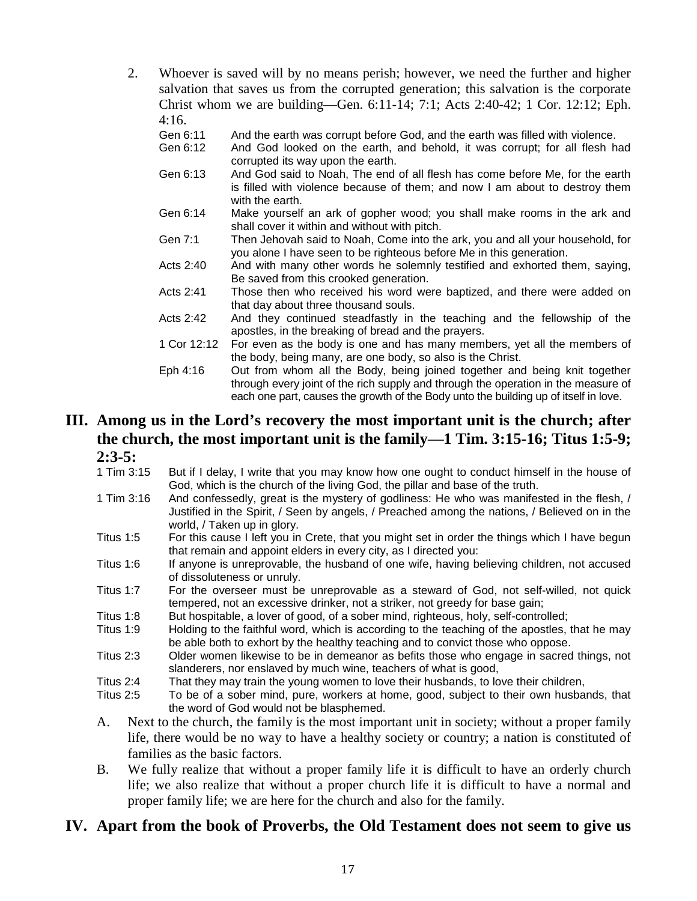2. Whoever is saved will by no means perish; however, we need the further and higher salvation that saves us from the corrupted generation; this salvation is the corporate Christ whom we are building—Gen. 6:11-14; 7:1; Acts 2:40-42; 1 Cor. 12:12; Eph.  $4:16$ .

| .           |                                                                                                                                                                                |
|-------------|--------------------------------------------------------------------------------------------------------------------------------------------------------------------------------|
| Gen 6:11    | And the earth was corrupt before God, and the earth was filled with violence.                                                                                                  |
| Gen 6:12    | And God looked on the earth, and behold, it was corrupt; for all flesh had<br>corrupted its way upon the earth.                                                                |
| Gen 6:13    | And God said to Noah, The end of all flesh has come before Me, for the earth<br>is filled with violence because of them; and now I am about to destroy them<br>with the earth. |
| Gen 6:14    | Make yourself an ark of gopher wood; you shall make rooms in the ark and<br>shall cover it within and without with pitch.                                                      |
| Gen 7:1     | Then Jehovah said to Noah, Come into the ark, you and all your household, for<br>you alone I have seen to be righteous before Me in this generation.                           |
| Acts 2:40   | And with many other words he solemnly testified and exhorted them, saying,<br>Be saved from this crooked generation.                                                           |
| Acts 2:41   | Those then who received his word were baptized, and there were added on<br>that day about three thousand souls.                                                                |
| Acts 2:42   | And they continued steadfastly in the teaching and the fellowship of the<br>apostles, in the breaking of bread and the prayers.                                                |
| 1 Cor 12:12 | For even as the body is one and has many members, yet all the members of<br>the body, being many, are one body, so also is the Christ.                                         |
| Eph 4:16    | Out from whom all the Body, being joined together and being knit together<br>through every joint of the rich supply and through the operation in the measure of                |

each one part, causes the growth of the Body unto the building up of itself in love.

# **III. Among us in the Lord's recovery the most important unit is the church; after the church, the most important unit is the family—1 Tim. 3:15-16; Titus 1:5-9; 2:3-5:**<br>1 Tim 3:15

- But if I delay, I write that you may know how one ought to conduct himself in the house of God, which is the church of the living God, the pillar and base of the truth.
- 1 Tim 3:16 And confessedly, great is the mystery of godliness: He who was manifested in the flesh, / Justified in the Spirit, / Seen by angels, / Preached among the nations, / Believed on in the world, / Taken up in glory.
- Titus 1:5 For this cause I left you in Crete, that you might set in order the things which I have begun that remain and appoint elders in every city, as I directed you:
- Titus 1:6 If anyone is unreprovable, the husband of one wife, having believing children, not accused of dissoluteness or unruly.
- Titus 1:7 For the overseer must be unreprovable as a steward of God, not self-willed, not quick tempered, not an excessive drinker, not a striker, not greedy for base gain;
- Titus 1:8 But hospitable, a lover of good, of a sober mind, righteous, holy, self-controlled;<br>Titus 1:9 Holding to the faithful word, which is according to the teaching of the apostles
- Holding to the faithful word, which is according to the teaching of the apostles, that he may be able both to exhort by the healthy teaching and to convict those who oppose.
- Titus 2:3 Older women likewise to be in demeanor as befits those who engage in sacred things, not slanderers, nor enslaved by much wine, teachers of what is good,
- Titus 2:4 That they may train the young women to love their husbands, to love their children,
- Titus 2:5 To be of a sober mind, pure, workers at home, good, subject to their own husbands, that the word of God would not be blasphemed.
- A. Next to the church, the family is the most important unit in society; without a proper family life, there would be no way to have a healthy society or country; a nation is constituted of families as the basic factors.
- B. We fully realize that without a proper family life it is difficult to have an orderly church life; we also realize that without a proper church life it is difficult to have a normal and proper family life; we are here for the church and also for the family.

### **IV. Apart from the book of Proverbs, the Old Testament does not seem to give us**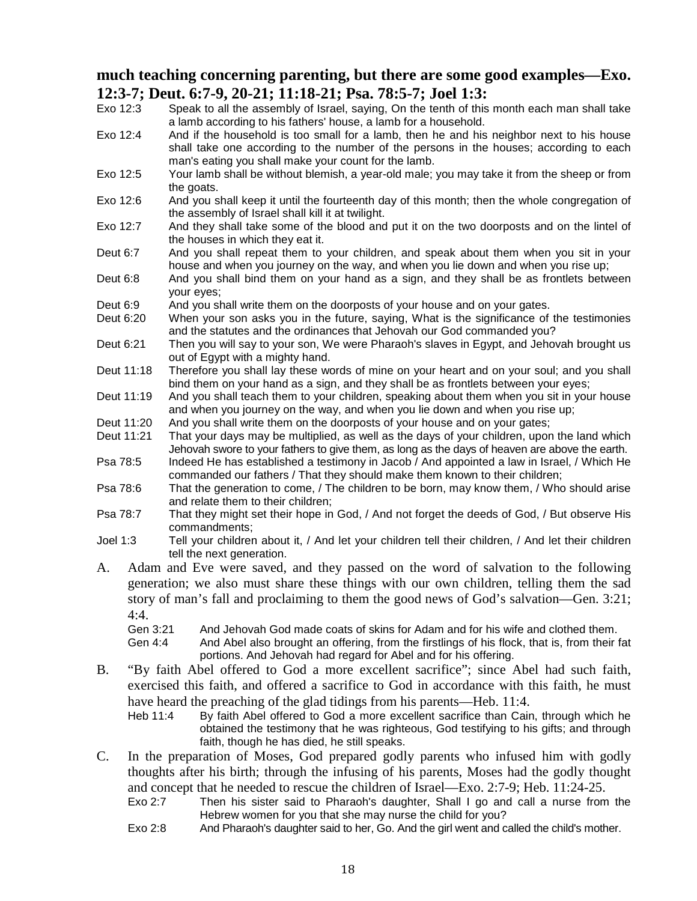# **much teaching concerning parenting, but there are some good examples—Exo. 12:3-7; Deut. 6:7-9, 20-21; 11:18-21; Psa. 78:5-7; Joel 1:3:**<br>Exo 12:3 Speak to all the assembly of Israel, saving. On the tenth of this

- Speak to all the assembly of Israel, saying. On the tenth of this month each man shall take a lamb according to his fathers' house, a lamb for a household.
- Exo 12:4 And if the household is too small for a lamb, then he and his neighbor next to his house shall take one according to the number of the persons in the houses; according to each man's eating you shall make your count for the lamb.
- Exo 12:5 Your lamb shall be without blemish, a year-old male; you may take it from the sheep or from the goats.
- Exo 12:6 And you shall keep it until the fourteenth day of this month; then the whole congregation of the assembly of Israel shall kill it at twilight.
- Exo 12:7 And they shall take some of the blood and put it on the two doorposts and on the lintel of the houses in which they eat it.
- Deut 6:7 And you shall repeat them to your children, and speak about them when you sit in your house and when you journey on the way, and when you lie down and when you rise up;
- Deut 6:8 And you shall bind them on your hand as a sign, and they shall be as frontlets between your eyes;
- Deut 6:9 And you shall write them on the doorposts of your house and on your gates.
- Deut 6:20 When your son asks you in the future, saying, What is the significance of the testimonies and the statutes and the ordinances that Jehovah our God commanded you?
- Deut 6:21 Then you will say to your son, We were Pharaoh's slaves in Egypt, and Jehovah brought us out of Egypt with a mighty hand.
- Deut 11:18 Therefore you shall lay these words of mine on your heart and on your soul; and you shall bind them on your hand as a sign, and they shall be as frontlets between your eyes;
- Deut 11:19 And you shall teach them to your children, speaking about them when you sit in your house and when you journey on the way, and when you lie down and when you rise up;
- Deut 11:20 And you shall write them on the doorposts of your house and on your gates;
- Deut 11:21 That your days may be multiplied, as well as the days of your children, upon the land which Jehovah swore to your fathers to give them, as long as the days of heaven are above the earth.
- Psa 78:5 Indeed He has established a testimony in Jacob / And appointed a law in Israel, / Which He commanded our fathers / That they should make them known to their children;
- Psa 78:6 That the generation to come, / The children to be born, may know them, / Who should arise and relate them to their children;
- Psa 78:7 That they might set their hope in God, / And not forget the deeds of God, / But observe His commandments;
- Joel 1:3 Tell your children about it, / And let your children tell their children, / And let their children tell the next generation.
- A. Adam and Eve were saved, and they passed on the word of salvation to the following generation; we also must share these things with our own children, telling them the sad story of man's fall and proclaiming to them the good news of God's salvation—Gen. 3:21; 4:4.

Gen 3:21 And Jehovah God made coats of skins for Adam and for his wife and clothed them.

- Gen 4:4 And Abel also brought an offering, from the firstlings of his flock, that is, from their fat portions. And Jehovah had regard for Abel and for his offering.
- B. "By faith Abel offered to God a more excellent sacrifice"; since Abel had such faith, exercised this faith, and offered a sacrifice to God in accordance with this faith, he must have heard the preaching of the glad tidings from his parents—Heb. 11:4.
	- Heb 11:4 By faith Abel offered to God a more excellent sacrifice than Cain, through which he obtained the testimony that he was righteous, God testifying to his gifts; and through faith, though he has died, he still speaks.
- C. In the preparation of Moses, God prepared godly parents who infused him with godly thoughts after his birth; through the infusing of his parents, Moses had the godly thought and concept that he needed to rescue the children of Israel—Exo. 2:7-9; Heb. 11:24-25.
	- Exo 2:7 Then his sister said to Pharaoh's daughter, Shall I go and call a nurse from the Hebrew women for you that she may nurse the child for you?
	- Exo 2:8 And Pharaoh's daughter said to her, Go. And the girl went and called the child's mother.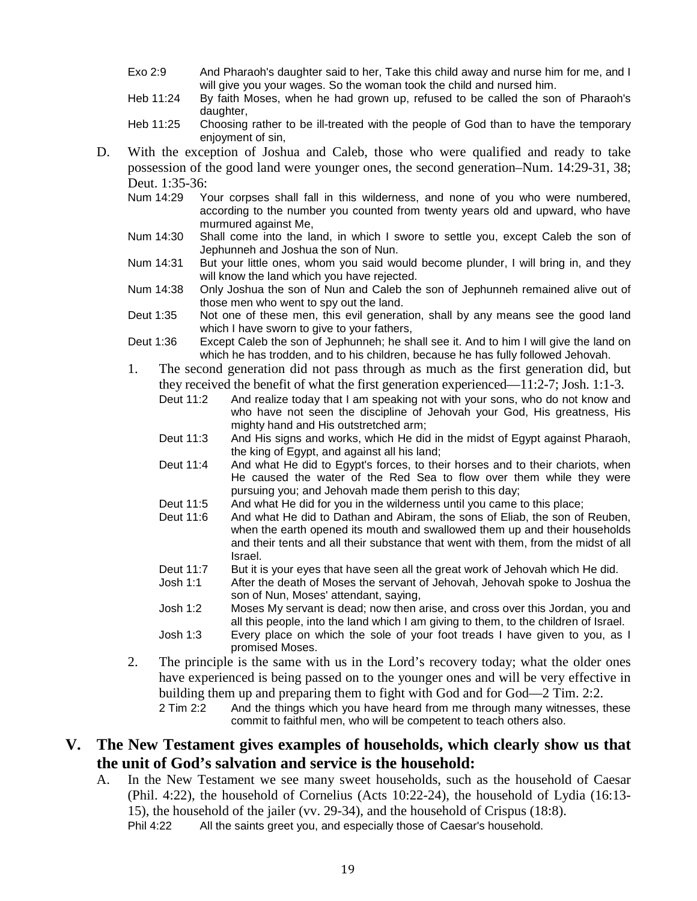- Exo 2:9 And Pharaoh's daughter said to her, Take this child away and nurse him for me, and I will give you your wages. So the woman took the child and nursed him.
- Heb 11:24 By faith Moses, when he had grown up, refused to be called the son of Pharaoh's daughter.
- Heb 11:25 Choosing rather to be ill-treated with the people of God than to have the temporary enjoyment of sin,
- D. With the exception of Joshua and Caleb, those who were qualified and ready to take possession of the good land were younger ones, the second generation–Num. 14:29-31, 38; Deut. 1:35-36:<br>Num 14:29 Y
	- Your corpses shall fall in this wilderness, and none of you who were numbered, according to the number you counted from twenty years old and upward, who have murmured against Me,
	- Num 14:30 Shall come into the land, in which I swore to settle you, except Caleb the son of Jephunneh and Joshua the son of Nun.
	- Num 14:31 But your little ones, whom you said would become plunder, I will bring in, and they will know the land which you have rejected.
	- Num 14:38 Only Joshua the son of Nun and Caleb the son of Jephunneh remained alive out of those men who went to spy out the land.
	- Deut 1:35 Not one of these men, this evil generation, shall by any means see the good land which I have sworn to give to your fathers,
	- Deut 1:36 Except Caleb the son of Jephunneh; he shall see it. And to him I will give the land on which he has trodden, and to his children, because he has fully followed Jehovah.
	- 1. The second generation did not pass through as much as the first generation did, but they received the benefit of what the first generation experienced—11:2-7; Josh. 1:1-3.
		- Deut 11:2 And realize today that I am speaking not with your sons, who do not know and who have not seen the discipline of Jehovah your God, His greatness, His mighty hand and His outstretched arm;
		- Deut 11:3 And His signs and works, which He did in the midst of Egypt against Pharaoh, the king of Egypt, and against all his land;
		- Deut 11:4 And what He did to Egypt's forces, to their horses and to their chariots, when He caused the water of the Red Sea to flow over them while they were pursuing you; and Jehovah made them perish to this day;
		- Deut 11:5 And what He did for you in the wilderness until you came to this place;
		- Deut 11:6 And what He did to Dathan and Abiram, the sons of Eliab, the son of Reuben, when the earth opened its mouth and swallowed them up and their households and their tents and all their substance that went with them, from the midst of all Israel.
		- Deut 11:7 But it is your eyes that have seen all the great work of Jehovah which He did.
		- Josh 1:1 After the death of Moses the servant of Jehovah, Jehovah spoke to Joshua the son of Nun, Moses' attendant, saying,
		- Josh 1:2 Moses My servant is dead; now then arise, and cross over this Jordan, you and all this people, into the land which I am giving to them, to the children of Israel.
		- Josh 1:3 Every place on which the sole of your foot treads I have given to you, as I promised Moses.
	- 2. The principle is the same with us in the Lord's recovery today; what the older ones have experienced is being passed on to the younger ones and will be very effective in building them up and preparing them to fight with God and for God—2 Tim. 2:2. 2 Tim 2:2 And the things which you have heard from me through many witnesses, these

commit to faithful men, who will be competent to teach others also.

### **V. The New Testament gives examples of households, which clearly show us that the unit of God's salvation and service is the household:**

A. In the New Testament we see many sweet households, such as the household of Caesar (Phil. 4:22), the household of Cornelius (Acts 10:22-24), the household of Lydia (16:13- 15), the household of the jailer (vv. 29-34), and the household of Crispus (18:8).<br>Phil 4:22 All the saints greet you, and especially those of Caesar's household.

All the saints greet you, and especially those of Caesar's household.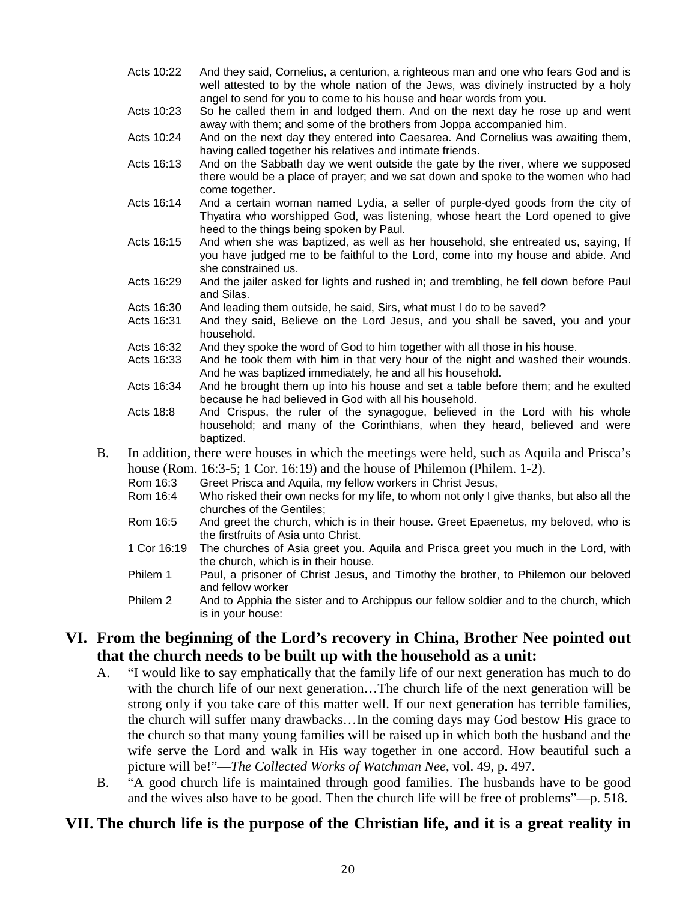- Acts 10:22 And they said, Cornelius, a centurion, a righteous man and one who fears God and is well attested to by the whole nation of the Jews, was divinely instructed by a holy angel to send for you to come to his house and hear words from you.
- Acts 10:23 So he called them in and lodged them. And on the next day he rose up and went away with them; and some of the brothers from Joppa accompanied him.

Acts 10:24 And on the next day they entered into Caesarea. And Cornelius was awaiting them, having called together his relatives and intimate friends.

- Acts 16:13 And on the Sabbath day we went outside the gate by the river, where we supposed there would be a place of prayer; and we sat down and spoke to the women who had come together.
- Acts 16:14 And a certain woman named Lydia, a seller of purple-dyed goods from the city of Thyatira who worshipped God, was listening, whose heart the Lord opened to give heed to the things being spoken by Paul.
- Acts 16:15 And when she was baptized, as well as her household, she entreated us, saying, If you have judged me to be faithful to the Lord, come into my house and abide. And she constrained us.
- Acts 16:29 And the jailer asked for lights and rushed in; and trembling, he fell down before Paul and Silas.
- Acts 16:30 And leading them outside, he said, Sirs, what must I do to be saved?
- Acts 16:31 And they said, Believe on the Lord Jesus, and you shall be saved, you and your household.
- Acts 16:32 And they spoke the word of God to him together with all those in his house.
- Acts 16:33 And he took them with him in that very hour of the night and washed their wounds. And he was baptized immediately, he and all his household.
- Acts 16:34 And he brought them up into his house and set a table before them; and he exulted because he had believed in God with all his household.
- Acts 18:8 And Crispus, the ruler of the synagogue, believed in the Lord with his whole household; and many of the Corinthians, when they heard, believed and were baptized.
- B. In addition, there were houses in which the meetings were held, such as Aquila and Prisca's house (Rom. 16:3-5; 1 Cor. 16:19) and the house of Philemon (Philem. 1-2).
	- Rom 16:3 Greet Prisca and Aquila, my fellow workers in Christ Jesus,
	- Rom 16:4 Who risked their own necks for my life, to whom not only I give thanks, but also all the churches of the Gentiles;
	- Rom 16:5 And greet the church, which is in their house. Greet Epaenetus, my beloved, who is the firstfruits of Asia unto Christ.
	- 1 Cor 16:19 The churches of Asia greet you. Aquila and Prisca greet you much in the Lord, with the church, which is in their house.
	- Philem 1 Paul, a prisoner of Christ Jesus, and Timothy the brother, to Philemon our beloved and fellow worker
	- Philem 2 And to Apphia the sister and to Archippus our fellow soldier and to the church, which is in your house:

## **VI. From the beginning of the Lord's recovery in China, Brother Nee pointed out that the church needs to be built up with the household as a unit:**

- A. "I would like to say emphatically that the family life of our next generation has much to do with the church life of our next generation...The church life of the next generation will be strong only if you take care of this matter well. If our next generation has terrible families, the church will suffer many drawbacks…In the coming days may God bestow His grace to the church so that many young families will be raised up in which both the husband and the wife serve the Lord and walk in His way together in one accord. How beautiful such a picture will be!"—*The Collected Works of Watchman Nee*, vol. 49, p. 497.
- B. "A good church life is maintained through good families. The husbands have to be good and the wives also have to be good. Then the church life will be free of problems"—p. 518.

## **VII. The church life is the purpose of the Christian life, and it is a great reality in**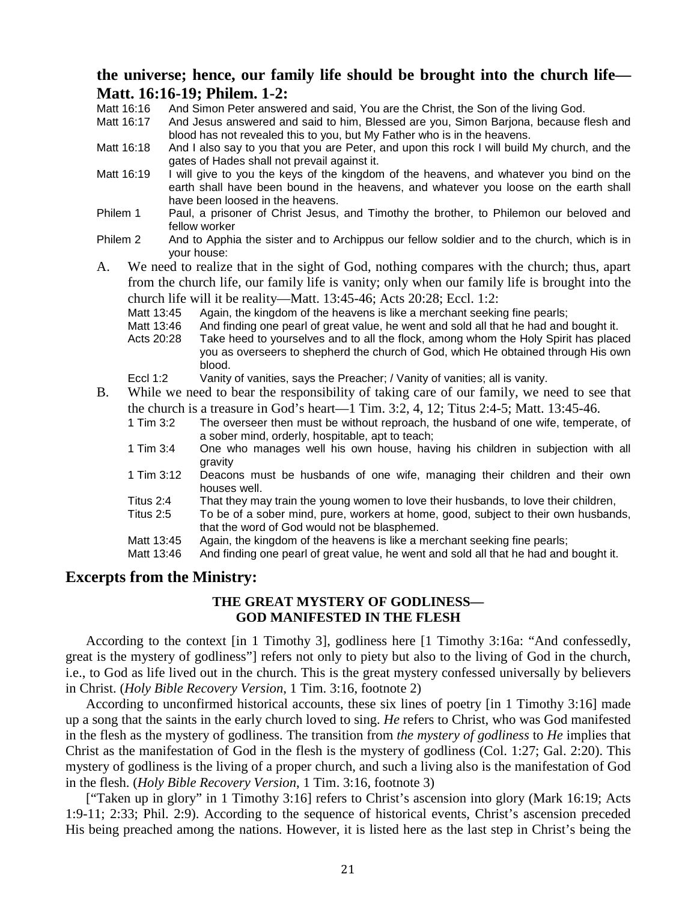### **the universe; hence, our family life should be brought into the church life— Matt. 16:16-19; Philem. 1-2:**

- Matt 16:16 And Simon Peter answered and said, You are the Christ, the Son of the living God.<br>Matt 16:17 And Jesus answered and said to him Blessed are you. Simon Bariona, because f
- And Jesus answered and said to him, Blessed are you, Simon Barjona, because flesh and blood has not revealed this to you, but My Father who is in the heavens.
- Matt 16:18 And I also say to you that you are Peter, and upon this rock I will build My church, and the gates of Hades shall not prevail against it.
- Matt 16:19 I will give to you the keys of the kingdom of the heavens, and whatever you bind on the earth shall have been bound in the heavens, and whatever you loose on the earth shall have been loosed in the heavens.
- Philem 1 Paul, a prisoner of Christ Jesus, and Timothy the brother, to Philemon our beloved and fellow worker
- Philem 2 And to Apphia the sister and to Archippus our fellow soldier and to the church, which is in your house:
- A. We need to realize that in the sight of God, nothing compares with the church; thus, apart from the church life, our family life is vanity; only when our family life is brought into the church life will it be reality—Matt. 13:45-46; Acts 20:28; Eccl. 1:2:
	- Matt 13:45 Again, the kingdom of the heavens is like a merchant seeking fine pearls;
	- Matt 13:46 And finding one pearl of great value, he went and sold all that he had and bought it.
	- Acts 20:28 Take heed to yourselves and to all the flock, among whom the Holy Spirit has placed you as overseers to shepherd the church of God, which He obtained through His own blood.
	- Eccl 1:2 Vanity of vanities, says the Preacher; / Vanity of vanities; all is vanity.
- B. While we need to bear the responsibility of taking care of our family, we need to see that the church is a treasure in God's heart—1 Tim. 3:2, 4, 12; Titus 2:4-5; Matt. 13:45-46.
	- 1 Tim 3:2 The overseer then must be without reproach, the husband of one wife, temperate, of a sober mind, orderly, hospitable, apt to teach;
	- 1 Tim 3:4 One who manages well his own house, having his children in subjection with all gravity
	- 1 Tim 3:12 Deacons must be husbands of one wife, managing their children and their own houses well.
	- Titus 2:4 That they may train the young women to love their husbands, to love their children,<br>Titus 2:5 To be of a sober mind, pure, workers at home, good, subject to their own husband
	- To be of a sober mind, pure, workers at home, good, subject to their own husbands, that the word of God would not be blasphemed.
	- Matt 13:45 Again, the kingdom of the heavens is like a merchant seeking fine pearls;<br>Matt 13:46 And finding one pearl of great value he went and sold all that he had and
	- And finding one pearl of great value, he went and sold all that he had and bought it.

### **Excerpts from the Ministry:**

### **THE GREAT MYSTERY OF GODLINESS— GOD MANIFESTED IN THE FLESH**

According to the context [in 1 Timothy 3], godliness here [1 Timothy 3:16a: "And confessedly, great is the mystery of godliness"] refers not only to piety but also to the living of God in the church, i.e., to God as life lived out in the church. This is the great mystery confessed universally by believers in Christ. (*Holy Bible Recovery Version*, 1 Tim. 3:16, footnote 2)

According to unconfirmed historical accounts, these six lines of poetry [in 1 Timothy 3:16] made up a song that the saints in the early church loved to sing. *He* refers to Christ, who was God manifested in the flesh as the mystery of godliness. The transition from *the mystery of godliness* to *He* implies that Christ as the manifestation of God in the flesh is the mystery of godliness (Col. 1:27; Gal. 2:20). This mystery of godliness is the living of a proper church, and such a living also is the manifestation of God in the flesh. (*Holy Bible Recovery Version*, 1 Tim. 3:16, footnote 3)

["Taken up in glory" in 1 Timothy 3:16] refers to Christ's ascension into glory (Mark 16:19; Acts 1:9-11; 2:33; Phil. 2:9). According to the sequence of historical events, Christ's ascension preceded His being preached among the nations. However, it is listed here as the last step in Christ's being the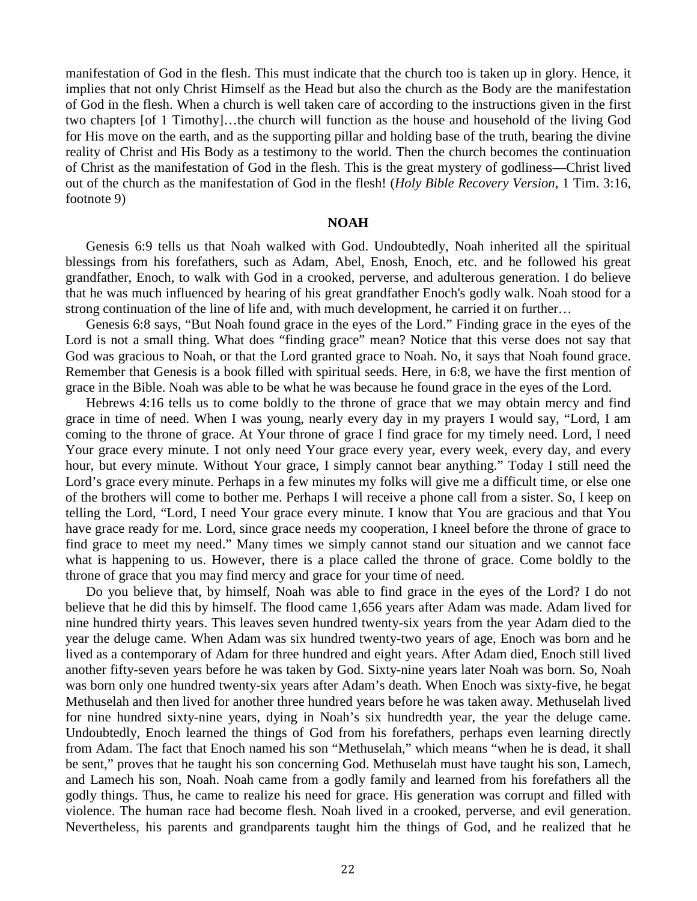manifestation of God in the flesh. This must indicate that the church too is taken up in glory. Hence, it implies that not only Christ Himself as the Head but also the church as the Body are the manifestation of God in the flesh. When a church is well taken care of according to the instructions given in the first two chapters [of 1 Timothy]…the church will function as the house and household of the living God for His move on the earth, and as the supporting pillar and holding base of the truth, bearing the divine reality of Christ and His Body as a testimony to the world. Then the church becomes the continuation of Christ as the manifestation of God in the flesh. This is the great mystery of godliness—Christ lived out of the church as the manifestation of God in the flesh! (*Holy Bible Recovery Version*, 1 Tim. 3:16, footnote 9)

#### **NOAH**

Genesis 6:9 tells us that Noah walked with God. Undoubtedly, Noah inherited all the spiritual blessings from his forefathers, such as Adam, Abel, Enosh, Enoch, etc. and he followed his great grandfather, Enoch, to walk with God in a crooked, perverse, and adulterous generation. I do believe that he was much influenced by hearing of his great grandfather Enoch's godly walk. Noah stood for a strong continuation of the line of life and, with much development, he carried it on further…

Genesis 6:8 says, "But Noah found grace in the eyes of the Lord." Finding grace in the eyes of the Lord is not a small thing. What does "finding grace" mean? Notice that this verse does not say that God was gracious to Noah, or that the Lord granted grace to Noah. No, it says that Noah found grace. Remember that Genesis is a book filled with spiritual seeds. Here, in 6:8, we have the first mention of grace in the Bible. Noah was able to be what he was because he found grace in the eyes of the Lord.

Hebrews 4:16 tells us to come boldly to the throne of grace that we may obtain mercy and find grace in time of need. When I was young, nearly every day in my prayers I would say, "Lord, I am coming to the throne of grace. At Your throne of grace I find grace for my timely need. Lord, I need Your grace every minute. I not only need Your grace every year, every week, every day, and every hour, but every minute. Without Your grace, I simply cannot bear anything." Today I still need the Lord's grace every minute. Perhaps in a few minutes my folks will give me a difficult time, or else one of the brothers will come to bother me. Perhaps I will receive a phone call from a sister. So, I keep on telling the Lord, "Lord, I need Your grace every minute. I know that You are gracious and that You have grace ready for me. Lord, since grace needs my cooperation, I kneel before the throne of grace to find grace to meet my need." Many times we simply cannot stand our situation and we cannot face what is happening to us. However, there is a place called the throne of grace. Come boldly to the throne of grace that you may find mercy and grace for your time of need.

Do you believe that, by himself, Noah was able to find grace in the eyes of the Lord? I do not believe that he did this by himself. The flood came 1,656 years after Adam was made. Adam lived for nine hundred thirty years. This leaves seven hundred twenty-six years from the year Adam died to the year the deluge came. When Adam was six hundred twenty-two years of age, Enoch was born and he lived as a contemporary of Adam for three hundred and eight years. After Adam died, Enoch still lived another fifty-seven years before he was taken by God. Sixty-nine years later Noah was born. So, Noah was born only one hundred twenty-six years after Adam's death. When Enoch was sixty-five, he begat Methuselah and then lived for another three hundred years before he was taken away. Methuselah lived for nine hundred sixty-nine years, dying in Noah's six hundredth year, the year the deluge came. Undoubtedly, Enoch learned the things of God from his forefathers, perhaps even learning directly from Adam. The fact that Enoch named his son "Methuselah," which means "when he is dead, it shall be sent," proves that he taught his son concerning God. Methuselah must have taught his son, Lamech, and Lamech his son, Noah. Noah came from a godly family and learned from his forefathers all the godly things. Thus, he came to realize his need for grace. His generation was corrupt and filled with violence. The human race had become flesh. Noah lived in a crooked, perverse, and evil generation. Nevertheless, his parents and grandparents taught him the things of God, and he realized that he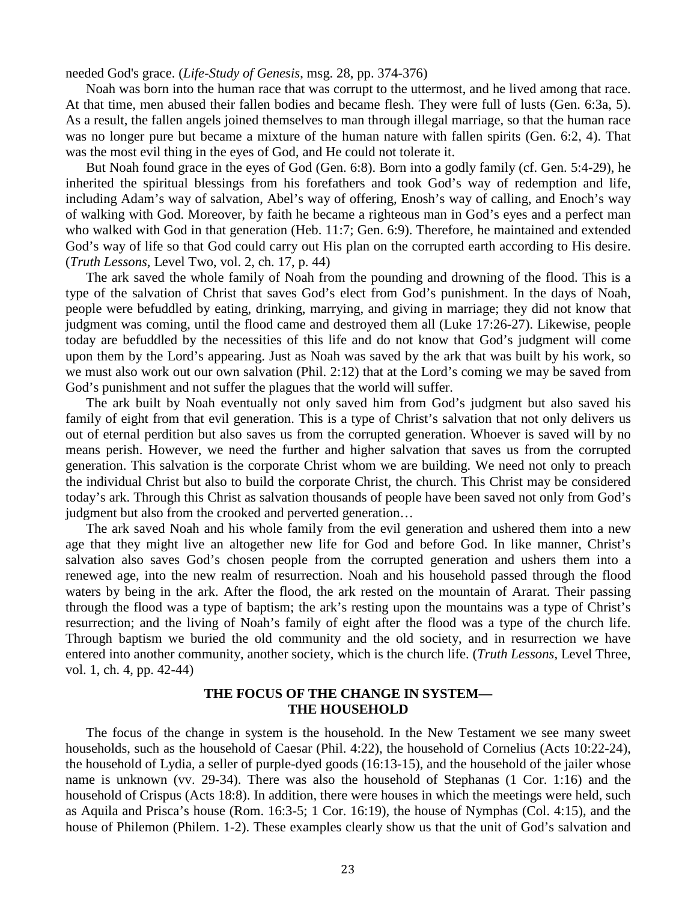needed God's grace. (*Life-Study of Genesis*, msg. 28, pp. 374-376)

Noah was born into the human race that was corrupt to the uttermost, and he lived among that race. At that time, men abused their fallen bodies and became flesh. They were full of lusts (Gen. 6:3a, 5). As a result, the fallen angels joined themselves to man through illegal marriage, so that the human race was no longer pure but became a mixture of the human nature with fallen spirits (Gen. 6:2, 4). That was the most evil thing in the eyes of God, and He could not tolerate it.

But Noah found grace in the eyes of God (Gen. 6:8). Born into a godly family (cf. Gen. 5:4-29), he inherited the spiritual blessings from his forefathers and took God's way of redemption and life, including Adam's way of salvation, Abel's way of offering, Enosh's way of calling, and Enoch's way of walking with God. Moreover, by faith he became a righteous man in God's eyes and a perfect man who walked with God in that generation (Heb. 11:7; Gen. 6:9). Therefore, he maintained and extended God's way of life so that God could carry out His plan on the corrupted earth according to His desire. (*Truth Lessons*, Level Two, vol. 2, ch. 17, p. 44)

The ark saved the whole family of Noah from the pounding and drowning of the flood. This is a type of the salvation of Christ that saves God's elect from God's punishment. In the days of Noah, people were befuddled by eating, drinking, marrying, and giving in marriage; they did not know that judgment was coming, until the flood came and destroyed them all (Luke 17:26-27). Likewise, people today are befuddled by the necessities of this life and do not know that God's judgment will come upon them by the Lord's appearing. Just as Noah was saved by the ark that was built by his work, so we must also work out our own salvation (Phil. 2:12) that at the Lord's coming we may be saved from God's punishment and not suffer the plagues that the world will suffer.

The ark built by Noah eventually not only saved him from God's judgment but also saved his family of eight from that evil generation. This is a type of Christ's salvation that not only delivers us out of eternal perdition but also saves us from the corrupted generation. Whoever is saved will by no means perish. However, we need the further and higher salvation that saves us from the corrupted generation. This salvation is the corporate Christ whom we are building. We need not only to preach the individual Christ but also to build the corporate Christ, the church. This Christ may be considered today's ark. Through this Christ as salvation thousands of people have been saved not only from God's judgment but also from the crooked and perverted generation...

The ark saved Noah and his whole family from the evil generation and ushered them into a new age that they might live an altogether new life for God and before God. In like manner, Christ's salvation also saves God's chosen people from the corrupted generation and ushers them into a renewed age, into the new realm of resurrection. Noah and his household passed through the flood waters by being in the ark. After the flood, the ark rested on the mountain of Ararat. Their passing through the flood was a type of baptism; the ark's resting upon the mountains was a type of Christ's resurrection; and the living of Noah's family of eight after the flood was a type of the church life. Through baptism we buried the old community and the old society, and in resurrection we have entered into another community, another society, which is the church life. (*Truth Lessons*, Level Three, vol. 1, ch. 4, pp. 42-44)

### **THE FOCUS OF THE CHANGE IN SYSTEM— THE HOUSEHOLD**

The focus of the change in system is the household. In the New Testament we see many sweet households, such as the household of Caesar (Phil. 4:22), the household of Cornelius (Acts 10:22-24), the household of Lydia, a seller of purple-dyed goods (16:13-15), and the household of the jailer whose name is unknown (vv. 29-34). There was also the household of Stephanas (1 Cor. 1:16) and the household of Crispus (Acts 18:8). In addition, there were houses in which the meetings were held, such as Aquila and Prisca's house (Rom. 16:3-5; 1 Cor. 16:19), the house of Nymphas (Col. 4:15), and the house of Philemon (Philem. 1-2). These examples clearly show us that the unit of God's salvation and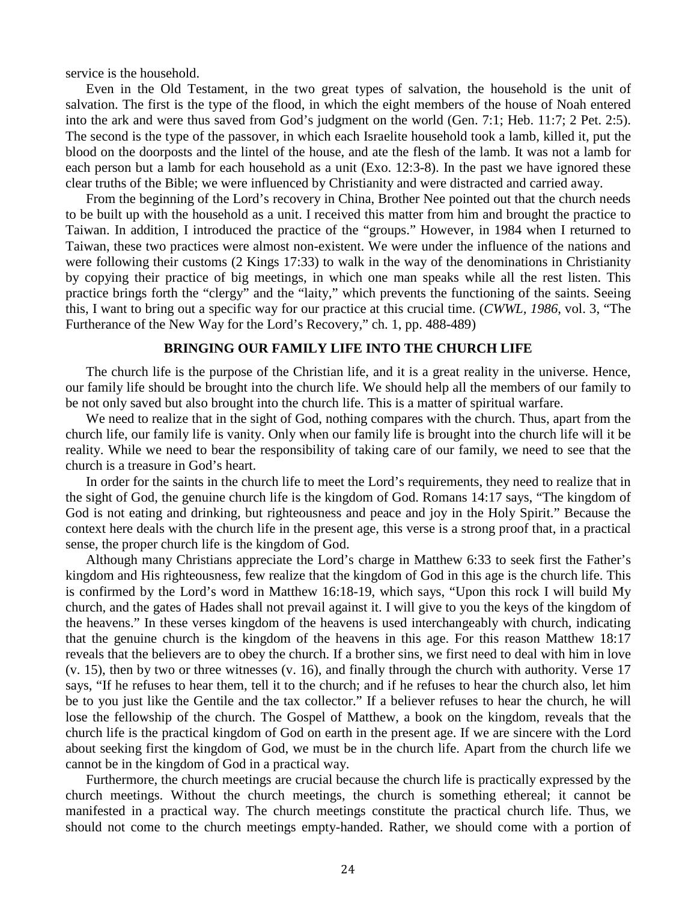service is the household.

Even in the Old Testament, in the two great types of salvation, the household is the unit of salvation. The first is the type of the flood, in which the eight members of the house of Noah entered into the ark and were thus saved from God's judgment on the world (Gen. 7:1; Heb. 11:7; 2 Pet. 2:5). The second is the type of the passover, in which each Israelite household took a lamb, killed it, put the blood on the doorposts and the lintel of the house, and ate the flesh of the lamb. It was not a lamb for each person but a lamb for each household as a unit (Exo. 12:3-8). In the past we have ignored these clear truths of the Bible; we were influenced by Christianity and were distracted and carried away.

From the beginning of the Lord's recovery in China, Brother Nee pointed out that the church needs to be built up with the household as a unit. I received this matter from him and brought the practice to Taiwan. In addition, I introduced the practice of the "groups." However, in 1984 when I returned to Taiwan, these two practices were almost non-existent. We were under the influence of the nations and were following their customs (2 Kings 17:33) to walk in the way of the denominations in Christianity by copying their practice of big meetings, in which one man speaks while all the rest listen. This practice brings forth the "clergy" and the "laity," which prevents the functioning of the saints. Seeing this, I want to bring out a specific way for our practice at this crucial time. (*CWWL, 1986*, vol. 3, "The Furtherance of the New Way for the Lord's Recovery," ch. 1, pp. 488-489)

### **BRINGING OUR FAMILY LIFE INTO THE CHURCH LIFE**

The church life is the purpose of the Christian life, and it is a great reality in the universe. Hence, our family life should be brought into the church life. We should help all the members of our family to be not only saved but also brought into the church life. This is a matter of spiritual warfare.

We need to realize that in the sight of God, nothing compares with the church. Thus, apart from the church life, our family life is vanity. Only when our family life is brought into the church life will it be reality. While we need to bear the responsibility of taking care of our family, we need to see that the church is a treasure in God's heart.

In order for the saints in the church life to meet the Lord's requirements, they need to realize that in the sight of God, the genuine church life is the kingdom of God. Romans 14:17 says, "The kingdom of God is not eating and drinking, but righteousness and peace and joy in the Holy Spirit." Because the context here deals with the church life in the present age, this verse is a strong proof that, in a practical sense, the proper church life is the kingdom of God.

Although many Christians appreciate the Lord's charge in Matthew 6:33 to seek first the Father's kingdom and His righteousness, few realize that the kingdom of God in this age is the church life. This is confirmed by the Lord's word in Matthew 16:18-19, which says, "Upon this rock I will build My church, and the gates of Hades shall not prevail against it. I will give to you the keys of the kingdom of the heavens." In these verses kingdom of the heavens is used interchangeably with church, indicating that the genuine church is the kingdom of the heavens in this age. For this reason Matthew 18:17 reveals that the believers are to obey the church. If a brother sins, we first need to deal with him in love (v. 15), then by two or three witnesses (v. 16), and finally through the church with authority. Verse 17 says, "If he refuses to hear them, tell it to the church; and if he refuses to hear the church also, let him be to you just like the Gentile and the tax collector." If a believer refuses to hear the church, he will lose the fellowship of the church. The Gospel of Matthew, a book on the kingdom, reveals that the church life is the practical kingdom of God on earth in the present age. If we are sincere with the Lord about seeking first the kingdom of God, we must be in the church life. Apart from the church life we cannot be in the kingdom of God in a practical way.

Furthermore, the church meetings are crucial because the church life is practically expressed by the church meetings. Without the church meetings, the church is something ethereal; it cannot be manifested in a practical way. The church meetings constitute the practical church life. Thus, we should not come to the church meetings empty-handed. Rather, we should come with a portion of